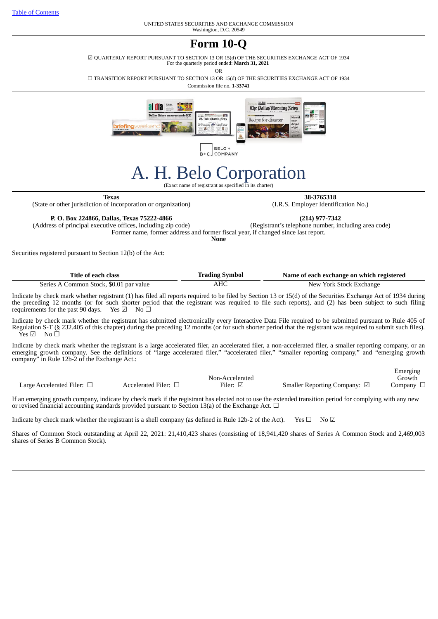UNITED STATES SECURITIES AND EXCHANGE COMMISSION Washington, D.C. 20549

# **Form 10-Q**

☑ QUARTERLY REPORT PURSUANT TO SECTION 13 OR 15(d) OF THE SECURITIES EXCHANGE ACT OF 1934

For the quarterly period ended: **March 31, 2021**

OR

☐ TRANSITION REPORT PURSUANT TO SECTION 13 OR 15(d) OF THE SECURITIES EXCHANGE ACT OF 1934

Commission file no. **1-33741**



B+C\_COMPANY

# A. H. Belo Corporation

(Exact name of registrant as specified in its charter)

(State or other jurisdiction of incorporation or organization)

**Texas 38-3765318**<br>
of incorporation or organization) (I.R.S. Employer Identification No.)

Emerging

**P. O. Box 224866, Dallas, Texas 75222-4866 (214) 977-7342** (Address of principal executive offices, including zip code) Former name, former address and former fiscal year, if changed since last report.

**None**

Securities registered pursuant to Section 12(b) of the Act:

| Title of each class                     | <b>Trading Symbol</b> | Name of each exchange on which registered |  |  |  |  |  |
|-----------------------------------------|-----------------------|-------------------------------------------|--|--|--|--|--|
| Series A Common Stock, \$0.01 par value | AHC                   | New York Stock Exchange                   |  |  |  |  |  |

Indicate by check mark whether registrant (1) has filed all reports required to be filed by Section 13 or 15(d) of the Securities Exchange Act of 1934 during the preceding 12 months (or for such shorter period that the registrant was required to file such reports), and (2) has been subject to such filing requirements for the past 90 days. Yes  $\Box$  No  $\Box$ requirements for the past 90 days.

Indicate by check mark whether the registrant has submitted electronically every Interactive Data File required to be submitted pursuant to Rule 405 of Regulation S-T (§ 232.405 of this chapter) during the preceding 12 months (or for such shorter period that the registrant was required to submit such files).  $\bar{Y}$ es Ø No  $\Box$ 

Indicate by check mark whether the registrant is a large accelerated filer, an accelerated filer, a non-accelerated filer, a smaller reporting company, or an emerging growth company. See the definitions of "large accelerated filer," "accelerated filer," "smaller reporting company," and "emerging growth company" in Rule 12b-2 of the Exchange Act.:

|                            |                    |                 |                                        | LIIICI gille |
|----------------------------|--------------------|-----------------|----------------------------------------|--------------|
|                            |                    | Non-Accelerated |                                        | ⊤rowth       |
| Large Accelerated Filer: 1 | Accelerated Filer: | $F$ iler:       | <b>Smaller Reporting Company:</b><br>⊻ | ompany_      |

If an emerging growth company, indicate by check mark if the registrant has elected not to use the extended transition period for complying with any new or revised financial accounting standards provided pursuant to Section 13(a) of the Exchange Act.  $\Box$ 

Indicate by check mark whether the registrant is a shell company (as defined in Rule 12b-2 of the Act). Yes  $\Box$  No  $\Box$ 

Shares of Common Stock outstanding at April 22, 2021: 21,410,423 shares (consisting of 18,941,420 shares of Series A Common Stock and 2,469,003 shares of Series B Common Stock).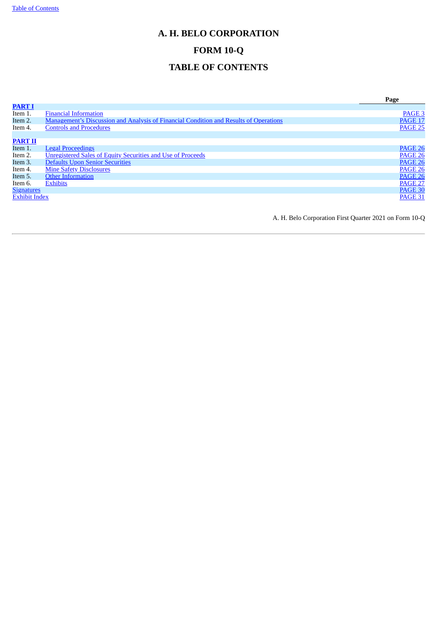# <span id="page-1-0"></span>**A. H. BELO CORPORATION**

# **FORM 10-Q**

# **TABLE OF CONTENTS**

|                      |                                                                                       | Page              |
|----------------------|---------------------------------------------------------------------------------------|-------------------|
| <b>PART I</b>        |                                                                                       |                   |
| Item 1.              | <b>Financial Information</b>                                                          | PAGE <sub>3</sub> |
| Item 2.              | Management's Discussion and Analysis of Financial Condition and Results of Operations | <b>PAGE 17</b>    |
| Item 4.              | <b>Controls and Procedures</b>                                                        | <b>PAGE 25</b>    |
|                      |                                                                                       |                   |
| <b>PART II</b>       |                                                                                       |                   |
| Item 1.              | <b>Legal Proceedings</b>                                                              | <b>PAGE 26</b>    |
| Item 2.              | <b>Unregistered Sales of Equity Securities and Use of Proceeds</b>                    | <b>PAGE 26</b>    |
| Item 3.              | <b>Defaults Upon Senior Securities</b>                                                | <b>PAGE 26</b>    |
| Item 4.              | <b>Mine Safety Disclosures</b>                                                        | <b>PAGE 26</b>    |
| Item 5.              | <b>Other Information</b>                                                              | <b>PAGE 26</b>    |
| Item 6.              | <b>Exhibits</b>                                                                       | <b>PAGE 27</b>    |
| <b>Signatures</b>    |                                                                                       | <b>PAGE 30</b>    |
| <b>Exhibit Index</b> |                                                                                       | <b>PAGE 31</b>    |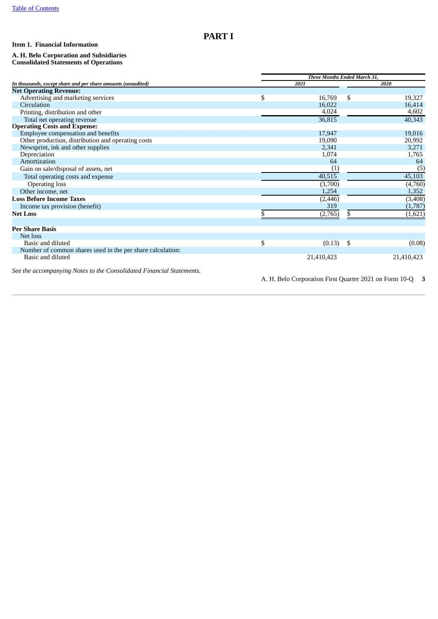# <span id="page-2-0"></span>**PART I**

# <span id="page-2-1"></span>**Item 1. Financial Information**

#### **A. H. Belo Corporation and Subsidiaries Consolidated Statements of Operations**

|                                                                      | Three Months Ended March 31, |             |    |                                                             |  |  |
|----------------------------------------------------------------------|------------------------------|-------------|----|-------------------------------------------------------------|--|--|
| In thousands, except share and per share amounts (unaudited)         |                              | 2021        |    | 2020                                                        |  |  |
| <b>Net Operating Revenue:</b>                                        |                              |             |    |                                                             |  |  |
| Advertising and marketing services                                   | \$                           | 16,769      | \$ | 19,327                                                      |  |  |
| Circulation                                                          |                              | 16,022      |    | 16,414                                                      |  |  |
| Printing, distribution and other                                     |                              | 4,024       |    | 4,602                                                       |  |  |
| Total net operating revenue                                          |                              | 36,815      |    | 40,343                                                      |  |  |
| <b>Operating Costs and Expense:</b>                                  |                              |             |    |                                                             |  |  |
| Employee compensation and benefits                                   |                              | 17,947      |    | 19,016                                                      |  |  |
| Other production, distribution and operating costs                   |                              | 19,090      |    | 20,992                                                      |  |  |
| Newsprint, ink and other supplies                                    |                              | 2,341       |    | 3,271                                                       |  |  |
| Depreciation                                                         |                              | 1,074       |    | 1,765                                                       |  |  |
| Amortization                                                         |                              | 64          |    | 64                                                          |  |  |
| Gain on sale/disposal of assets, net                                 |                              | (1)         |    | (5)                                                         |  |  |
| Total operating costs and expense                                    |                              | 40,515      |    | 45,103                                                      |  |  |
| <b>Operating loss</b>                                                |                              | (3,700)     |    | (4,760)                                                     |  |  |
| Other income, net                                                    |                              | 1,254       |    | 1,352                                                       |  |  |
| <b>Loss Before Income Taxes</b>                                      |                              | (2, 446)    |    | (3, 408)                                                    |  |  |
| Income tax provision (benefit)                                       |                              | 319         |    | (1,787)                                                     |  |  |
| <b>Net Loss</b>                                                      | \$                           | (2,765)     | S. | (1,621)                                                     |  |  |
|                                                                      |                              |             |    |                                                             |  |  |
| <b>Per Share Basis</b>                                               |                              |             |    |                                                             |  |  |
| Net loss                                                             |                              |             |    |                                                             |  |  |
| Basic and diluted                                                    | \$                           | $(0.13)$ \$ |    | (0.08)                                                      |  |  |
| Number of common shares used in the per share calculation:           |                              |             |    |                                                             |  |  |
| Basic and diluted                                                    |                              | 21,410,423  |    | 21,410,423                                                  |  |  |
| See the accompanying Notes to the Consolidated Financial Statements. |                              |             |    |                                                             |  |  |
|                                                                      |                              |             |    | A. H. Belo Corporation First Quarter 2021 on Form 10-Q<br>3 |  |  |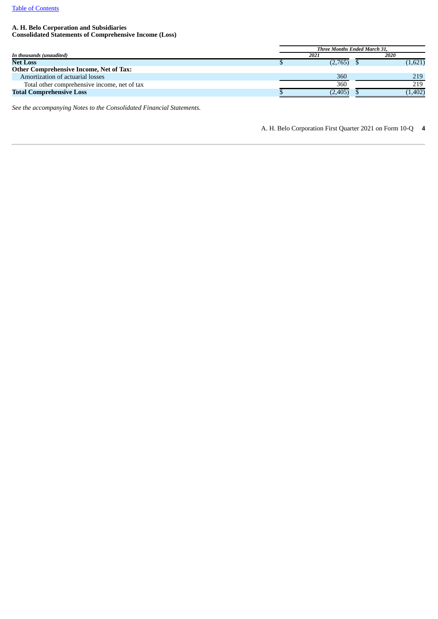# **A. H. Belo Corporation and Subsidiaries**

**Consolidated Statements of Comprehensive Income (Loss)**

|                                              | <b>Three Months Ended March 31.</b> |  |         |  |  |
|----------------------------------------------|-------------------------------------|--|---------|--|--|
| In thousands (unaudited)                     | 2021                                |  | 2020    |  |  |
| <b>Net Loss</b>                              | (2,765)                             |  | (1,621) |  |  |
| Other Comprehensive Income, Net of Tax:      |                                     |  |         |  |  |
| Amortization of actuarial losses             | 360                                 |  | 219     |  |  |
| Total other comprehensive income, net of tax | 360                                 |  | 219     |  |  |
| <b>Total Comprehensive Loss</b>              | (2, 405)                            |  | (1,402) |  |  |

*See the accompanying Notes to the Consolidated Financial Statements.*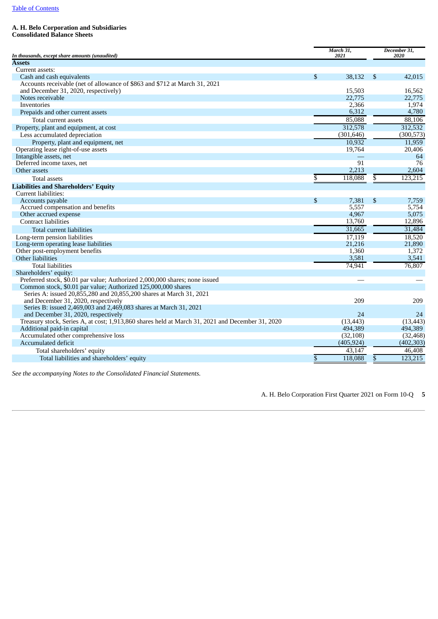## **A. H. Belo Corporation and Subsidiaries**

**Consolidated Balance Sheets**

|                                                                                                  | March 31,<br>2021 |                         | December 31,<br>2020 |
|--------------------------------------------------------------------------------------------------|-------------------|-------------------------|----------------------|
| In thousands, except share amounts (unaudited)<br><b>Assets</b>                                  |                   |                         |                      |
| Current assets:                                                                                  |                   |                         |                      |
| Cash and cash equivalents                                                                        | \$<br>38,132      | \$                      | 42,015               |
| Accounts receivable (net of allowance of \$863 and \$712 at March 31, 2021                       |                   |                         |                      |
| and December 31, 2020, respectively)                                                             | 15,503            |                         | 16,562               |
| Notes receivable                                                                                 | 22,775            |                         | 22,775               |
| Inventories                                                                                      | 2,366             |                         | 1,974                |
| Prepaids and other current assets                                                                | 6,312             |                         | 4,780                |
| Total current assets                                                                             | 85,088            |                         | 88,106               |
| Property, plant and equipment, at cost                                                           | 312,578           |                         | 312,532              |
| Less accumulated depreciation                                                                    | (301, 646)        |                         | (300, 573)           |
| Property, plant and equipment, net                                                               | 10,932            |                         | 11,959               |
| Operating lease right-of-use assets                                                              | 19,764            |                         | 20,406               |
| Intangible assets, net                                                                           |                   |                         | 64                   |
| Deferred income taxes, net                                                                       | 91                |                         | 76                   |
| Other assets                                                                                     | 2,213             |                         | 2,604                |
| <b>Total assets</b>                                                                              | \$<br>118,088     | $\overline{\mathbb{S}}$ | 123,215              |
| <b>Liabilities and Shareholders' Equity</b>                                                      |                   |                         |                      |
| Current liabilities:                                                                             |                   |                         |                      |
| Accounts payable                                                                                 | \$<br>7,381       | \$                      | 7,759                |
| Accrued compensation and benefits                                                                | 5,557             |                         | 5,754                |
| Other accrued expense                                                                            | 4,967             |                         | 5,075                |
| <b>Contract liabilities</b>                                                                      | 13,760            |                         | 12,896               |
| Total current liabilities                                                                        | 31,665            |                         | 31,484               |
| Long-term pension liabilities                                                                    | 17,119            |                         | 18,520               |
| Long-term operating lease liabilities                                                            | 21,216            |                         | 21,890               |
| Other post-employment benefits                                                                   | 1,360             |                         | 1,372                |
| Other liabilities                                                                                | 3,581             |                         | 3,541                |
| <b>Total liabilities</b>                                                                         | 74,941            |                         | 76,807               |
| Shareholders' equity:                                                                            |                   |                         |                      |
| Preferred stock, \$0.01 par value; Authorized 2,000,000 shares; none issued                      |                   |                         |                      |
| Common stock, \$0.01 par value; Authorized 125,000,000 shares                                    |                   |                         |                      |
| Series A: issued 20,855,280 and 20,855,200 shares at March 31, 2021                              |                   |                         |                      |
| and December 31, 2020, respectively                                                              | 209               |                         | 209                  |
| Series B: issued 2,469,003 and 2,469,083 shares at March 31, 2021                                |                   |                         |                      |
| and December 31, 2020, respectively                                                              | 24                |                         | 24                   |
| Treasury stock, Series A, at cost; 1,913,860 shares held at March 31, 2021 and December 31, 2020 | (13, 443)         |                         | (13, 443)            |
| Additional paid-in capital                                                                       | 494,389           |                         | 494,389              |
| Accumulated other comprehensive loss                                                             | (32, 108)         |                         | (32, 468)            |
| Accumulated deficit                                                                              | (405, 924)        |                         | (402, 303)           |
| Total shareholders' equity                                                                       | 43,147            |                         | 46,408               |
| Total liabilities and shareholders' equity                                                       | \$<br>118,088     | \$                      | 123,215              |

*See the accompanying Notes to the Consolidated Financial Statements.*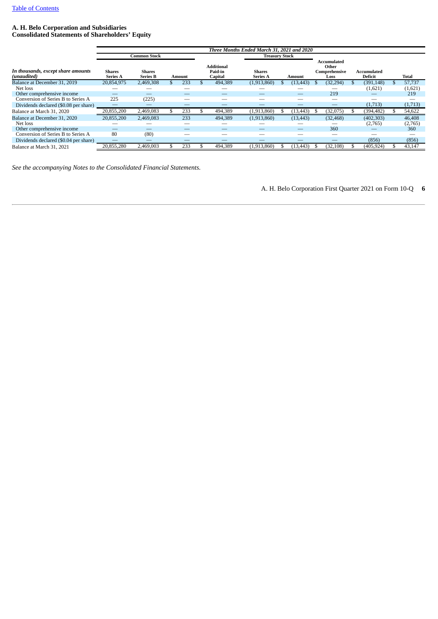# **A. H. Belo Corporation and Subsidiaries Consolidated Statements of Shareholders' Equity**

|                                                   |                                  |                           |               | Three Months Ended March 31, 2021 and 2020 |                                  |           |                                               |                        |         |
|---------------------------------------------------|----------------------------------|---------------------------|---------------|--------------------------------------------|----------------------------------|-----------|-----------------------------------------------|------------------------|---------|
|                                                   |                                  | <b>Common Stock</b>       |               |                                            | <b>Treasury Stock</b>            |           |                                               |                        |         |
| In thousands, except share amounts<br>(unaudited) | <b>Shares</b><br><b>Series A</b> | Shares<br><b>Series B</b> | <b>Amount</b> | <b>Additional</b><br>Paid-in<br>Capital    | <b>Shares</b><br><b>Series A</b> | Amount    | Accumulated<br>Other<br>Comprehensive<br>Loss | Accumulated<br>Deficit | Total   |
| Balance at December 31, 2019                      | 20,854,975                       | 2,469,308                 | 233           | 494,389                                    | (1,913,860)                      | (13, 443) | (32, 294)                                     | (391, 148)             | 57,737  |
| Net loss                                          |                                  |                           |               |                                            |                                  |           |                                               | (1,621)                | (1,621) |
| Other comprehensive income                        |                                  |                           |               | __                                         |                                  | –         | 219                                           |                        | 219     |
| Conversion of Series B to Series A                | 225                              | (225)                     |               |                                            |                                  |           |                                               |                        |         |
| Dividends declared (\$0.08 per share)             |                                  |                           |               |                                            |                                  |           |                                               | (1,713)                | (1,713) |
| Balance at March 31, 2020                         | 20,855,200                       | 2,469,083                 | 233           | 494,389                                    | (1,913,860)                      | (13, 443) | (32,075)                                      | (394,482)              | 54,622  |
| Balance at December 31, 2020                      | 20.855.200                       | 2,469,083                 | 233           | 494,389                                    | (1,913,860)                      | (13, 443) | (32, 468)                                     | (402, 303)             | 46,408  |
| Net loss                                          |                                  |                           |               |                                            |                                  |           |                                               | (2,765)                | (2,765) |
| Other comprehensive income                        |                                  |                           |               |                                            |                                  |           | 360                                           |                        | 360     |
| Conversion of Series B to Series A                | 80                               | (80)                      |               |                                            |                                  |           |                                               |                        |         |
| Dividends declared (\$0.04 per share)             |                                  |                           |               |                                            |                                  |           |                                               | (856)                  | (856)   |
| Balance at March 31, 2021                         | 20.855.280                       | 2,469,003                 | 233           | 494,389                                    | (1,913,860)                      | (13, 443) | (32, 108)                                     | (405, 924)             | 43,147  |

*See the accompanying Notes to the Consolidated Financial Statements.*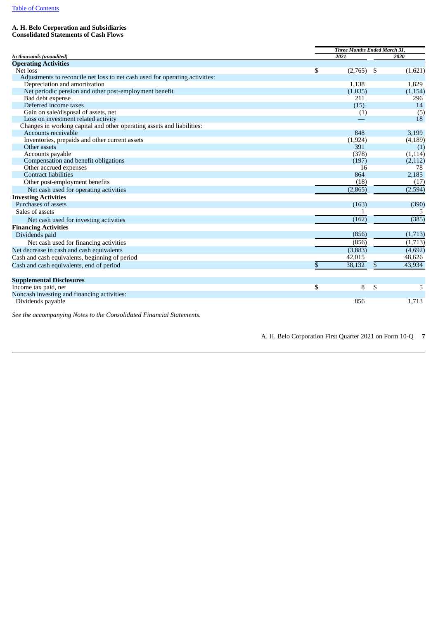# **A. H. Belo Corporation and Subsidiaries**

**Consolidated Statements of Cash Flows**

|                                                                              | Three Months Ended March 31, |     |          |  |  |
|------------------------------------------------------------------------------|------------------------------|-----|----------|--|--|
| In thousands (unaudited)                                                     | 2021                         |     | 2020     |  |  |
| <b>Operating Activities</b>                                                  |                              |     |          |  |  |
| Net loss                                                                     | \$<br>(2,765)                | -\$ | (1,621)  |  |  |
| Adjustments to reconcile net loss to net cash used for operating activities: |                              |     |          |  |  |
| Depreciation and amortization                                                | 1,138                        |     | 1,829    |  |  |
| Net periodic pension and other post-employment benefit                       | (1,035)                      |     | (1, 154) |  |  |
| Bad debt expense                                                             | 211                          |     | 296      |  |  |
| Deferred income taxes                                                        | (15)                         |     | 14       |  |  |
| Gain on sale/disposal of assets, net                                         | (1)                          |     | (5)      |  |  |
| Loss on investment related activity                                          |                              |     | 18       |  |  |
| Changes in working capital and other operating assets and liabilities:       |                              |     |          |  |  |
| Accounts receivable                                                          | 848                          |     | 3,199    |  |  |
| Inventories, prepaids and other current assets                               | (1, 924)                     |     | (4, 189) |  |  |
| Other assets                                                                 | 391                          |     | (1)      |  |  |
| Accounts payable                                                             | (378)                        |     | (1, 114) |  |  |
| Compensation and benefit obligations                                         | (197)                        |     | (2, 112) |  |  |
| Other accrued expenses                                                       | 16                           |     | 78       |  |  |
| Contract liabilities                                                         | 864                          |     | 2,185    |  |  |
| Other post-employment benefits                                               | (18)                         |     | (17)     |  |  |
| Net cash used for operating activities                                       | (2,865)                      |     | (2, 594) |  |  |
| <b>Investing Activities</b>                                                  |                              |     |          |  |  |
| Purchases of assets                                                          | (163)                        |     | (390)    |  |  |
| Sales of assets                                                              |                              |     |          |  |  |
| Net cash used for investing activities                                       | (162)                        |     | (385)    |  |  |
| <b>Financing Activities</b>                                                  |                              |     |          |  |  |
| Dividends paid                                                               | (856)                        |     | (1,713)  |  |  |
| Net cash used for financing activities                                       | (856)                        |     | (1,713)  |  |  |
| Net decrease in cash and cash equivalents                                    | (3,883)                      |     | (4,692)  |  |  |
| Cash and cash equivalents, beginning of period                               | 42,015                       |     | 48,626   |  |  |
|                                                                              |                              |     |          |  |  |
| Cash and cash equivalents, end of period                                     | 38,132                       | \$  | 43,934   |  |  |
| <b>Supplemental Disclosures</b>                                              |                              |     |          |  |  |
| Income tax paid, net                                                         | \$<br>8                      | -\$ | 5        |  |  |
| Noncash investing and financing activities:                                  |                              |     |          |  |  |
| Dividends payable                                                            | 856                          |     | 1,713    |  |  |

*See the accompanying Notes to the Consolidated Financial Statements.*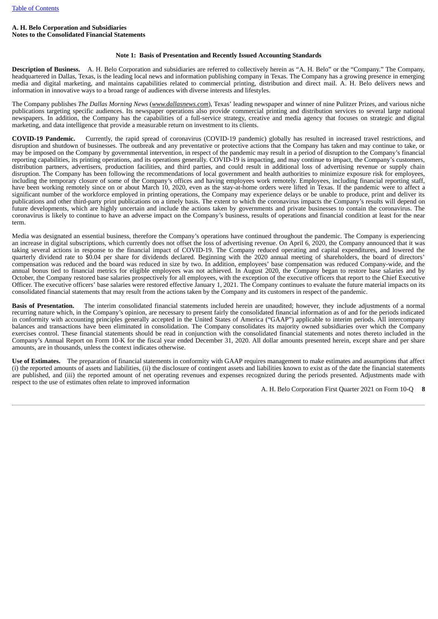### **A. H. Belo Corporation and Subsidiaries Notes to the Consolidated Financial Statements**

# **Note 1: Basis of Presentation and Recently Issued Accounting Standards**

**Description of Business.** A. H. Belo Corporation and subsidiaries are referred to collectively herein as "A. H. Belo" or the "Company." The Company, headquartered in Dallas, Texas, is the leading local news and information publishing company in Texas. The Company has a growing presence in emerging media and digital marketing, and maintains capabilities related to commercial printing, distribution and direct mail. A. H. Belo delivers news and information in innovative ways to a broad range of audiences with diverse interests and lifestyles.

The Company publishes *The Dallas Morning News* (*www.dallasnews.com*), Texas' leading newspaper and winner of nine Pulitzer Prizes, and various niche publications targeting specific audiences. Its newspaper operations also provide commercial printing and distribution services to several large national newspapers. In addition, the Company has the capabilities of a full-service strategy, creative and media agency that focuses on strategic and digital marketing, and data intelligence that provide a measurable return on investment to its clients.

**COVID-19 Pandemic.** Currently, the rapid spread of coronavirus (COVID-19 pandemic) globally has resulted in increased travel restrictions, and disruption and shutdown of businesses. The outbreak and any preventative or protective actions that the Company has taken and may continue to take, or may be imposed on the Company by governmental intervention, in respect of the pandemic may result in a period of disruption to the Company's financial reporting capabilities, its printing operations, and its operations generally. COVID-19 is impacting, and may continue to impact, the Company's customers, distribution partners, advertisers, production facilities, and third parties, and could result in additional loss of advertising revenue or supply chain disruption. The Company has been following the recommendations of local government and health authorities to minimize exposure risk for employees, including the temporary closure of some of the Company's offices and having employees work remotely. Employees, including financial reporting staff, have been working remotely since on or about March 10, 2020, even as the stay-at-home orders were lifted in Texas. If the pandemic were to affect a significant number of the workforce employed in printing operations, the Company may experience delays or be unable to produce, print and deliver its publications and other third-party print publications on a timely basis. The extent to which the coronavirus impacts the Company's results will depend on future developments, which are highly uncertain and include the actions taken by governments and private businesses to contain the coronavirus. The coronavirus is likely to continue to have an adverse impact on the Company's business, results of operations and financial condition at least for the near term.

Media was designated an essential business, therefore the Company's operations have continued throughout the pandemic. The Company is experiencing an increase in digital subscriptions, which currently does not offset the loss of advertising revenue. On April 6, 2020, the Company announced that it was taking several actions in response to the financial impact of COVID-19. The Company reduced operating and capital expenditures, and lowered the quarterly dividend rate to \$0.04 per share for dividends declared. Beginning with the 2020 annual meeting of shareholders, the board of directors' compensation was reduced and the board was reduced in size by two. In addition, employees' base compensation was reduced Company-wide, and the annual bonus tied to financial metrics for eligible employees was not achieved. In August 2020, the Company began to restore base salaries and by October, the Company restored base salaries prospectively for all employees, with the exception of the executive officers that report to the Chief Executive Officer. The executive officers' base salaries were restored effective January 1, 2021. The Company continues to evaluate the future material impacts on its consolidated financial statements that may result from the actions taken by the Company and its customers in respect of the pandemic.

**Basis of Presentation.** The interim consolidated financial statements included herein are unaudited; however, they include adjustments of a normal recurring nature which, in the Company's opinion, are necessary to present fairly the consolidated financial information as of and for the periods indicated in conformity with accounting principles generally accepted in the United States of America ("GAAP") applicable to interim periods. All intercompany balances and transactions have been eliminated in consolidation. The Company consolidates its majority owned subsidiaries over which the Company exercises control. These financial statements should be read in conjunction with the consolidated financial statements and notes thereto included in the Company's Annual Report on Form 10-K for the fiscal year ended December 31, 2020. All dollar amounts presented herein, except share and per share amounts, are in thousands, unless the context indicates otherwise.

**Use of Estimates.** The preparation of financial statements in conformity with GAAP requires management to make estimates and assumptions that affect (i) the reported amounts of assets and liabilities, (ii) the disclosure of contingent assets and liabilities known to exist as of the date the financial statements are published, and (iii) the reported amount of net operating revenues and expenses recognized during the periods presented. Adjustments made with respect to the use of estimates often relate to improved information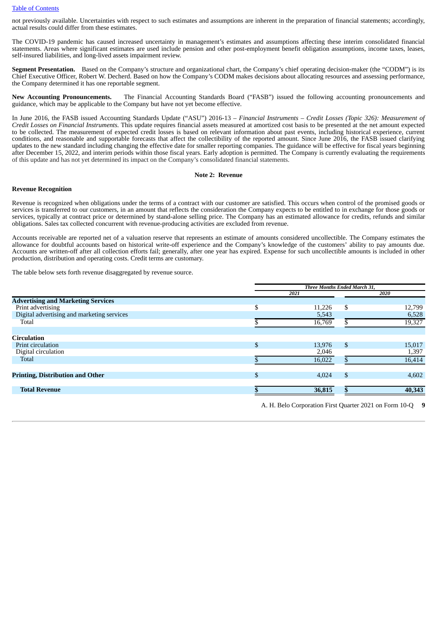#### Table of [Contents](#page-1-0)

not previously available. Uncertainties with respect to such estimates and assumptions are inherent in the preparation of financial statements; accordingly, actual results could differ from these estimates.

The COVID-19 pandemic has caused increased uncertainty in management's estimates and assumptions affecting these interim consolidated financial statements. Areas where significant estimates are used include pension and other post-employment benefit obligation assumptions, income taxes, leases, self-insured liabilities, and long-lived assets impairment review.

**Segment Presentation.** Based on the Company's structure and organizational chart, the Company's chief operating decision-maker (the "CODM") is its Chief Executive Officer, Robert W. Decherd. Based on how the Company's CODM makes decisions about allocating resources and assessing performance, the Company determined it has one reportable segment.

**New Accounting Pronouncements.** The Financial Accounting Standards Board ("FASB") issued the following accounting pronouncements and guidance, which may be applicable to the Company but have not yet become effective.

In June 2016, the FASB issued Accounting Standards Update ("ASU") 2016-13 – *Financial Instruments – Credit Losses (Topic 326): Measurement of Credit Losses on Financial Instruments.* This update requires financial assets measured at amortized cost basis to be presented at the net amount expected to be collected. The measurement of expected credit losses is based on relevant information about past events, including historical experience, current conditions, and reasonable and supportable forecasts that affect the collectibility of the reported amount. Since June 2016, the FASB issued clarifying updates to the new standard including changing the effective date for smaller reporting companies. The guidance will be effective for fiscal years beginning after December 15, 2022, and interim periods within those fiscal years. Early adoption is permitted. The Company is currently evaluating the requirements of this update and has not yet determined its impact on the Company's consolidated financial statements.

#### **Note 2: Revenue**

#### **Revenue Recognition**

Revenue is recognized when obligations under the terms of a contract with our customer are satisfied. This occurs when control of the promised goods or services is transferred to our customers, in an amount that reflects the consideration the Company expects to be entitled to in exchange for those goods or services, typically at contract price or determined by stand-alone selling price. The Company has an estimated allowance for credits, refunds and similar obligations. Sales tax collected concurrent with revenue-producing activities are excluded from revenue.

Accounts receivable are reported net of a valuation reserve that represents an estimate of amounts considered uncollectible. The Company estimates the allowance for doubtful accounts based on historical write-off experience and the Company's knowledge of the customers' ability to pay amounts due. Accounts are written-off after all collection efforts fail; generally, after one year has expired. Expense for such uncollectible amounts is included in other production, distribution and operating costs. Credit terms are customary.

The table below sets forth revenue disaggregated by revenue source.

|                                            | Three Months Ended March 31, |    |        |  |  |
|--------------------------------------------|------------------------------|----|--------|--|--|
|                                            | 2021                         |    | 2020   |  |  |
| <b>Advertising and Marketing Services</b>  |                              |    |        |  |  |
| Print advertising                          | \$<br>11,226                 | \$ | 12,799 |  |  |
| Digital advertising and marketing services | 5,543                        |    | 6,528  |  |  |
| Total                                      | 16,769                       |    | 19,327 |  |  |
|                                            |                              |    |        |  |  |
| <b>Circulation</b>                         |                              |    |        |  |  |
| Print circulation                          | \$<br>13,976                 | \$ | 15,017 |  |  |
| Digital circulation                        | 2,046                        |    | 1,397  |  |  |
| <b>Total</b>                               | 16,022                       |    | 16,414 |  |  |
|                                            |                              |    |        |  |  |
| <b>Printing, Distribution and Other</b>    | \$<br>4.024                  | \$ | 4,602  |  |  |
|                                            |                              |    |        |  |  |
| <b>Total Revenue</b>                       | 36,815                       |    | 40,343 |  |  |
|                                            |                              |    |        |  |  |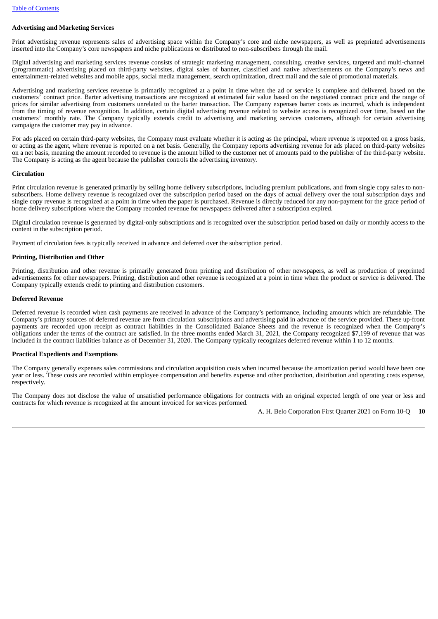# **Advertising and Marketing Services**

Print advertising revenue represents sales of advertising space within the Company's core and niche newspapers, as well as preprinted advertisements inserted into the Company's core newspapers and niche publications or distributed to non-subscribers through the mail.

Digital advertising and marketing services revenue consists of strategic marketing management, consulting, creative services, targeted and multi-channel (programmatic) advertising placed on third-party websites, digital sales of banner, classified and native advertisements on the Company's news and entertainment-related websites and mobile apps, social media management, search optimization, direct mail and the sale of promotional materials.

Advertising and marketing services revenue is primarily recognized at a point in time when the ad or service is complete and delivered, based on the customers' contract price. Barter advertising transactions are recognized at estimated fair value based on the negotiated contract price and the range of prices for similar advertising from customers unrelated to the barter transaction. The Company expenses barter costs as incurred, which is independent from the timing of revenue recognition. In addition, certain digital advertising revenue related to website access is recognized over time, based on the customers' monthly rate. The Company typically extends credit to advertising and marketing services customers, although for certain advertising campaigns the customer may pay in advance.

For ads placed on certain third-party websites, the Company must evaluate whether it is acting as the principal, where revenue is reported on a gross basis, or acting as the agent, where revenue is reported on a net basis. Generally, the Company reports advertising revenue for ads placed on third-party websites on a net basis, meaning the amount recorded to revenue is the amount billed to the customer net of amounts paid to the publisher of the third-party website. The Company is acting as the agent because the publisher controls the advertising inventory.

#### **Circulation**

Print circulation revenue is generated primarily by selling home delivery subscriptions, including premium publications, and from single copy sales to nonsubscribers. Home delivery revenue is recognized over the subscription period based on the days of actual delivery over the total subscription days and single copy revenue is recognized at a point in time when the paper is purchased. Revenue is directly reduced for any non-payment for the grace period of home delivery subscriptions where the Company recorded revenue for newspapers delivered after a subscription expired.

Digital circulation revenue is generated by digital-only subscriptions and is recognized over the subscription period based on daily or monthly access to the content in the subscription period.

Payment of circulation fees is typically received in advance and deferred over the subscription period.

#### **Printing, Distribution and Other**

Printing, distribution and other revenue is primarily generated from printing and distribution of other newspapers, as well as production of preprinted advertisements for other newspapers. Printing, distribution and other revenue is recognized at a point in time when the product or service is delivered. The Company typically extends credit to printing and distribution customers.

#### **Deferred Revenue**

Deferred revenue is recorded when cash payments are received in advance of the Company's performance, including amounts which are refundable. The Company's primary sources of deferred revenue are from circulation subscriptions and advertising paid in advance of the service provided. These up-front payments are recorded upon receipt as contract liabilities in the Consolidated Balance Sheets and the revenue is recognized when the Company's obligations under the terms of the contract are satisfied. In the three months ended March 31, 2021, the Company recognized \$7,199 of revenue that was included in the contract liabilities balance as of December 31, 2020. The Company typically recognizes deferred revenue within 1 to 12 months.

#### **Practical Expedients and Exemptions**

The Company generally expenses sales commissions and circulation acquisition costs when incurred because the amortization period would have been one year or less. These costs are recorded within employee compensation and benefits expense and other production, distribution and operating costs expense, respectively.

<span id="page-9-0"></span>The Company does not disclose the value of unsatisfied performance obligations for contracts with an original expected length of one year or less and contracts for which revenue is recognized at the amount invoiced for services performed.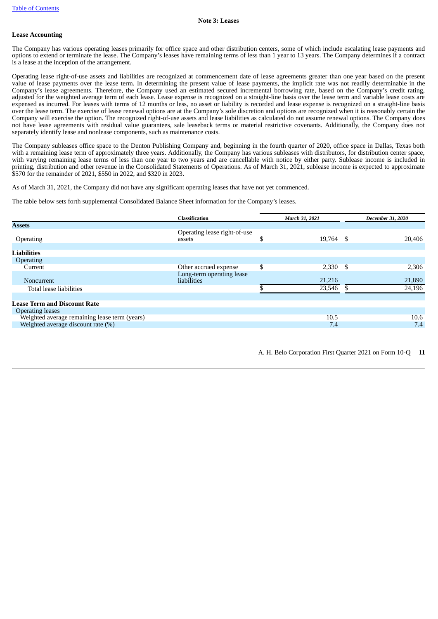#### **Note 3: Leases**

#### **Lease Accounting**

The Company has various operating leases primarily for office space and other distribution centers, some of which include escalating lease payments and options to extend or terminate the lease. The Company's leases have remaining terms of less than 1 year to 13 years. The Company determines if a contract is a lease at the inception of the arrangement.

Operating lease right-of-use assets and liabilities are recognized at commencement date of lease agreements greater than one year based on the present value of lease payments over the lease term. In determining the present value of lease payments, the implicit rate was not readily determinable in the Company's lease agreements. Therefore, the Company used an estimated secured incremental borrowing rate, based on the Company's credit rating, adjusted for the weighted average term of each lease. Lease expense is recognized on a straight-line basis over the lease term and variable lease costs are expensed as incurred. For leases with terms of 12 months or less, no asset or liability is recorded and lease expense is recognized on a straight-line basis over the lease term. The exercise of lease renewal options are at the Company's sole discretion and options are recognized when it is reasonably certain the Company will exercise the option. The recognized right-of-use assets and lease liabilities as calculated do not assume renewal options. The Company does not have lease agreements with residual value guarantees, sale leaseback terms or material restrictive covenants. Additionally, the Company does not separately identify lease and nonlease components, such as maintenance costs.

The Company subleases office space to the Denton Publishing Company and, beginning in the fourth quarter of 2020, office space in Dallas, Texas both with a remaining lease term of approximately three years. Additionally, the Company has various subleases with distributors, for distribution center space, with varying remaining lease terms of less than one year to two years and are cancellable with notice by either party. Sublease income is included in printing, distribution and other revenue in the Consolidated Statements of Operations. As of March 31, 2021, sublease income is expected to approximate \$570 for the remainder of 2021, \$550 in 2022, and \$320 in 2023.

As of March 31, 2021, the Company did not have any significant operating leases that have not yet commenced.

The table below sets forth supplemental Consolidated Balance Sheet information for the Company's leases.

|                                               | <b>Classification</b>                    | March 31, 2021   | December 31, 2020 |
|-----------------------------------------------|------------------------------------------|------------------|-------------------|
| <b>Assets</b>                                 |                                          |                  |                   |
| Operating                                     | Operating lease right-of-use<br>assets   | 19,764 \$        | 20,406            |
| <b>Liabilities</b>                            |                                          |                  |                   |
| <b>Operating</b>                              |                                          |                  |                   |
| Current                                       | Other accrued expense                    | \$<br>$2,330$ \$ | 2,306             |
| Noncurrent                                    | Long-term operating lease<br>liabilities | 21,216           | 21,890            |
| Total lease liabilities                       |                                          | 23,546           | 24,196            |
|                                               |                                          |                  |                   |
| <b>Lease Term and Discount Rate</b>           |                                          |                  |                   |
| <b>Operating leases</b>                       |                                          |                  |                   |
| Weighted average remaining lease term (years) |                                          | 10.5             | 10.6              |
| Weighted average discount rate (%)            |                                          | 7.4              | 7.4               |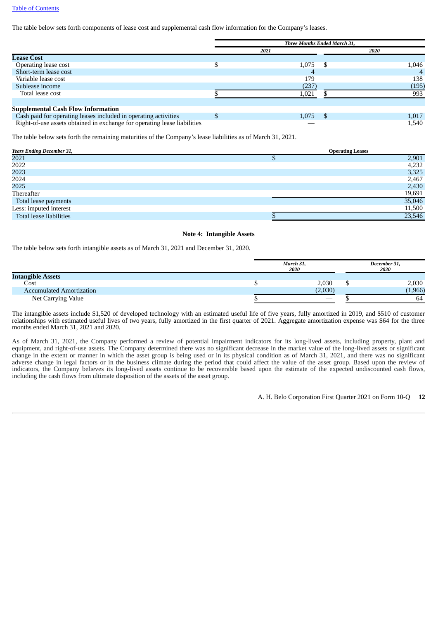#### Table of [Contents](#page-1-0)

The table below sets forth components of lease cost and supplemental cash flow information for the Company's leases.

|                                                                          | Three Months Ended March 31, |       |  |       |  |  |
|--------------------------------------------------------------------------|------------------------------|-------|--|-------|--|--|
|                                                                          |                              | 2021  |  | 2020  |  |  |
| <b>Lease Cost</b>                                                        |                              |       |  |       |  |  |
| Operating lease cost                                                     |                              | 1,075 |  | 1,046 |  |  |
| Short-term lease cost                                                    |                              | 4     |  |       |  |  |
| Variable lease cost                                                      |                              | 179   |  | 138   |  |  |
| Sublease income                                                          |                              | (237) |  | (195) |  |  |
| Total lease cost                                                         |                              | 1.021 |  | 993   |  |  |
|                                                                          |                              |       |  |       |  |  |
| <b>Supplemental Cash Flow Information</b>                                |                              |       |  |       |  |  |
| Cash paid for operating leases included in operating activities          |                              | 1,075 |  | 1,017 |  |  |
| Right-of-use assets obtained in exchange for operating lease liabilities |                              |       |  | 1,540 |  |  |

The table below sets forth the remaining maturities of the Company's lease liabilities as of March 31, 2021.

| <b>Years Ending December 31,</b> | <b>Operating Leases</b> |
|----------------------------------|-------------------------|
| 2021                             | 2,901                   |
| 2022                             | 4,232                   |
| 2023                             | 3,325                   |
| 2024                             | 2,467                   |
| 2025                             | 2,430                   |
| Thereafter                       | 19,691                  |
| Total lease payments             | 35,046                  |
| Less: imputed interest           | 11,500                  |
| Total lease liabilities          | 23,546                  |

#### **Note 4: Intangible Assets**

The table below sets forth intangible assets as of March 31, 2021 and December 31, 2020.

|                                 | March 31,<br>2020 |         |  | December 31,<br>2020 |
|---------------------------------|-------------------|---------|--|----------------------|
| <b>Intangible Assets</b>        |                   |         |  |                      |
| Cost                            |                   | 2,030   |  | 2,030                |
| <b>Accumulated Amortization</b> |                   | (2,030) |  | (1,966)              |
| Net Carrying Value              |                   |         |  | 64                   |

The intangible assets include \$1,520 of developed technology with an estimated useful life of five years, fully amortized in 2019, and \$510 of customer relationships with estimated useful lives of two years, fully amortized in the first quarter of 2021. Aggregate amortization expense was \$64 for the three months ended March 31, 2021 and 2020.

As of March 31, 2021, the Company performed a review of potential impairment indicators for its long-lived assets, including property, plant and equipment, and right-of-use assets. The Company determined there was no significant decrease in the market value of the long-lived assets or significant change in the extent or manner in which the asset group is being used or in its physical condition as of March 31, 2021, and there was no significant adverse change in legal factors or in the business climate during the period that could affect the value of the asset group. Based upon the review of indicators, the Company believes its long-lived assets continue to be recoverable based upon the estimate of the expected undiscounted cash flows, including the cash flows from ultimate disposition of the assets of the asset group.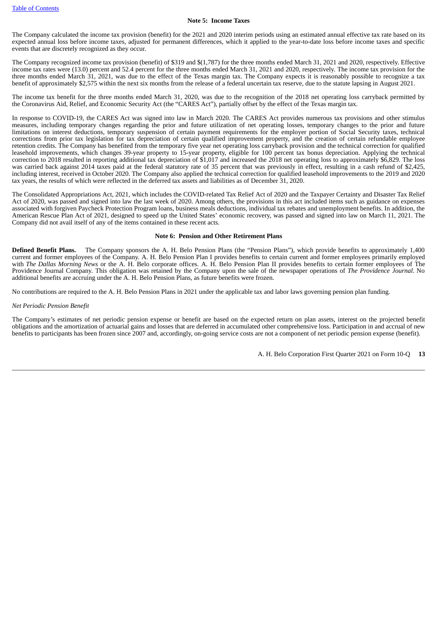#### **Note 5: Income Taxes**

The Company calculated the income tax provision (benefit) for the 2021 and 2020 interim periods using an estimated annual effective tax rate based on its expected annual loss before income taxes, adjusted for permanent differences, which it applied to the year-to-date loss before income taxes and specific events that are discretely recognized as they occur.

The Company recognized income tax provision (benefit) of \$319 and \$(1,787) for the three months ended March 31, 2021 and 2020, respectively. Effective income tax rates were (13.0) percent and 52.4 percent for the three months ended March 31, 2021 and 2020, respectively. The income tax provision for the three months ended March 31, 2021, was due to the effect of the Texas margin tax. The Company expects it is reasonably possible to recognize a tax benefit of approximately \$2,575 within the next six months from the release of a federal uncertain tax reserve, due to the statute lapsing in August 2021.

The income tax benefit for the three months ended March 31, 2020, was due to the recognition of the 2018 net operating loss carryback permitted by the Coronavirus Aid, Relief, and Economic Security Act (the "CARES Act"), partially offset by the effect of the Texas margin tax.

In response to COVID-19, the CARES Act was signed into law in March 2020. The CARES Act provides numerous tax provisions and other stimulus measures, including temporary changes regarding the prior and future utilization of net operating losses, temporary changes to the prior and future limitations on interest deductions, temporary suspension of certain payment requirements for the employer portion of Social Security taxes, technical corrections from prior tax legislation for tax depreciation of certain qualified improvement property, and the creation of certain refundable employee retention credits. The Company has benefited from the temporary five year net operating loss carryback provision and the technical correction for qualified leasehold improvements, which changes 39-year property to 15-year property, eligible for 100 percent tax bonus depreciation. Applying the technical correction to 2018 resulted in reporting additional tax depreciation of \$1,017 and increased the 2018 net operating loss to approximately \$6,829. The loss was carried back against 2014 taxes paid at the federal statutory rate of 35 percent that was previously in effect, resulting in a cash refund of \$2,425, including interest, received in October 2020. The Company also applied the technical correction for qualified leasehold improvements to the 2019 and 2020 tax years, the results of which were reflected in the deferred tax assets and liabilities as of December 31, 2020.

The Consolidated Appropriations Act, 2021, which includes the COVID-related Tax Relief Act of 2020 and the Taxpayer Certainty and Disaster Tax Relief Act of 2020, was passed and signed into law the last week of 2020. Among others, the provisions in this act included items such as guidance on expenses associated with forgiven Paycheck Protection Program loans, business meals deductions, individual tax rebates and unemployment benefits. In addition, the American Rescue Plan Act of 2021, designed to speed up the United States' economic recovery, was passed and signed into law on March 11, 2021. The Company did not avail itself of any of the items contained in these recent acts.

#### **Note 6: Pension and Other Retirement Plans**

**Defined Benefit Plans.** The Company sponsors the A. H. Belo Pension Plans (the "Pension Plans"), which provide benefits to approximately 1,400 current and former employees of the Company. A. H. Belo Pension Plan I provides benefits to certain current and former employees primarily employed with *The Dallas Morning News* or the A. H. Belo corporate offices. A. H. Belo Pension Plan II provides benefits to certain former employees of The Providence Journal Company. This obligation was retained by the Company upon the sale of the newspaper operations of *The Providence Journal*. No additional benefits are accruing under the A. H. Belo Pension Plans, as future benefits were frozen.

No contributions are required to the A. H. Belo Pension Plans in 2021 under the applicable tax and labor laws governing pension plan funding.

#### *Net Periodic Pension Benefit*

The Company's estimates of net periodic pension expense or benefit are based on the expected return on plan assets, interest on the projected benefit obligations and the amortization of actuarial gains and losses that are deferred in accumulated other comprehensive loss. Participation in and accrual of new benefits to participants has been frozen since 2007 and, accordingly, on-going service costs are not a component of net periodic pension expense (benefit).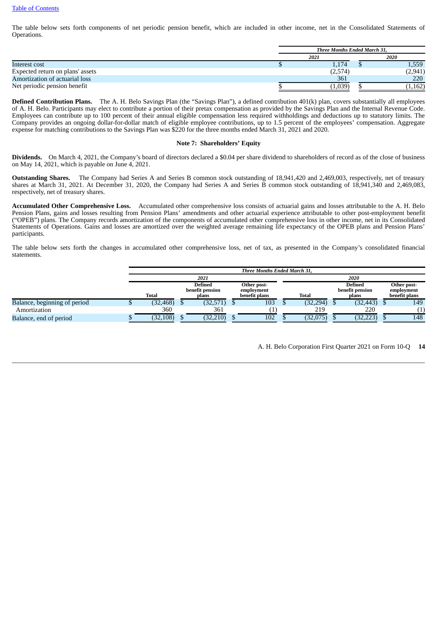The table below sets forth components of net periodic pension benefit, which are included in other income, net in the Consolidated Statements of Operations.

|                                  | <b>Three Months Ended March 31.</b> |         |  |         |  |
|----------------------------------|-------------------------------------|---------|--|---------|--|
|                                  | 2021                                |         |  | 2020    |  |
| Interest cost                    |                                     | 1,174   |  | 1,559   |  |
| Expected return on plans' assets |                                     | (2,574) |  | (2,941) |  |
| Amortization of actuarial loss   |                                     | 361     |  | 220     |  |
| Net periodic pension benefit     |                                     | 1,039   |  | 1,162   |  |

**Defined Contribution Plans.** The A. H. Belo Savings Plan (the "Savings Plan"), a defined contribution 401(k) plan, covers substantially all employees of A. H. Belo. Participants may elect to contribute a portion of their pretax compensation as provided by the Savings Plan and the Internal Revenue Code. Employees can contribute up to 100 percent of their annual eligible compensation less required withholdings and deductions up to statutory limits. The Company provides an ongoing dollar-for-dollar match of eligible employee contributions, up to 1.5 percent of the employees' compensation. Aggregate expense for matching contributions to the Savings Plan was \$220 for the three months ended March 31, 2021 and 2020.

#### **Note 7: Shareholders' Equity**

**Dividends.** On March 4, 2021, the Company's board of directors declared a \$0.04 per share dividend to shareholders of record as of the close of business on May 14, 2021, which is payable on June 4, 2021.

**Outstanding Shares.** The Company had Series A and Series B common stock outstanding of 18,941,420 and 2,469,003, respectively, net of treasury shares at March 31, 2021. At December 31, 2020, the Company had Series A and Series B common stock outstanding of 18,941,340 and 2,469,083, respectively, net of treasury shares.

**Accumulated Other Comprehensive Loss.** Accumulated other comprehensive loss consists of actuarial gains and losses attributable to the A. H. Belo Pension Plans, gains and losses resulting from Pension Plans' amendments and other actuarial experience attributable to other post-employment benefit ("OPEB") plans. The Company records amortization of the components of accumulated other comprehensive loss in other income, net in its Consolidated Statements of Operations. Gains and losses are amortized over the weighted average remaining life expectancy of the OPEB plans and Pension Plans' participants.

The table below sets forth the changes in accumulated other comprehensive loss, net of tax, as presented in the Company's consolidated financial statements.

|                              | <b>Three Months Ended March 31.</b> |                                                                |           |  |               |  |                            |                           |           |               |
|------------------------------|-------------------------------------|----------------------------------------------------------------|-----------|--|---------------|--|----------------------------|---------------------------|-----------|---------------|
|                              |                                     |                                                                | 2021      |  |               |  |                            |                           | 2020      |               |
|                              |                                     | <b>Defined</b><br>Other post-<br>benefit pension<br>employment |           |  |               |  | Defined<br>benefit pension | Other post-<br>employment |           |               |
|                              | <b>Total</b>                        |                                                                | plans     |  | benefit plans |  | <b>Total</b>               |                           | plans     | benefit plans |
| Balance, beginning of period | (32, 468)                           |                                                                | (32, 571) |  | 103           |  | (32, 294)                  |                           | (32, 443) | 149           |
| Amortization                 | 360                                 |                                                                | 361       |  |               |  | 219                        |                           | 220       |               |
| Balance, end of period       | (32, 108)                           |                                                                | (32, 210) |  | 102           |  | (32,075)                   |                           | (32, 223) | 148           |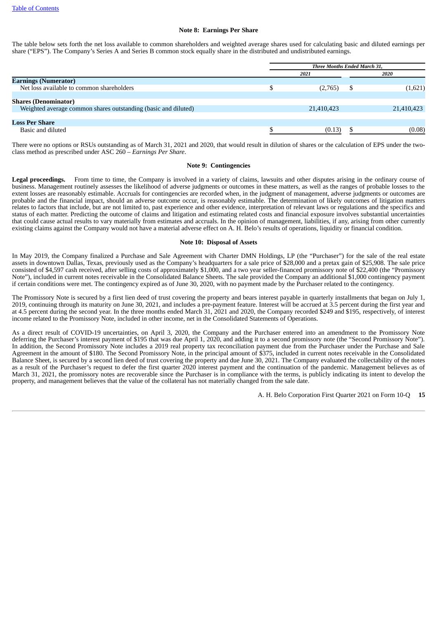#### **Note 8: Earnings Per Share**

The table below sets forth the net loss available to common shareholders and weighted average shares used for calculating basic and diluted earnings per share ("EPS"). The Company's Series A and Series B common stock equally share in the distributed and undistributed earnings.

|                                                                | Three Months Ended March 31, |            |      |            |  |  |  |  |
|----------------------------------------------------------------|------------------------------|------------|------|------------|--|--|--|--|
|                                                                |                              | 2021       | 2020 |            |  |  |  |  |
| <b>Earnings (Numerator)</b>                                    |                              |            |      |            |  |  |  |  |
| Net loss available to common shareholders                      |                              | (2,765)    |      | (1,621)    |  |  |  |  |
|                                                                |                              |            |      |            |  |  |  |  |
| <b>Shares (Denominator)</b>                                    |                              |            |      |            |  |  |  |  |
| Weighted average common shares outstanding (basic and diluted) |                              | 21,410,423 |      | 21,410,423 |  |  |  |  |
|                                                                |                              |            |      |            |  |  |  |  |
| <b>Loss Per Share</b>                                          |                              |            |      |            |  |  |  |  |
| Basic and diluted                                              |                              | (0.13)     |      | (0.08)     |  |  |  |  |

There were no options or RSUs outstanding as of March 31, 2021 and 2020, that would result in dilution of shares or the calculation of EPS under the twoclass method as prescribed under ASC 260 – *Earnings Per Share*.

#### **Note 9: Contingencies**

**Legal proceedings.** From time to time, the Company is involved in a variety of claims, lawsuits and other disputes arising in the ordinary course of business. Management routinely assesses the likelihood of adverse judgments or outcomes in these matters, as well as the ranges of probable losses to the extent losses are reasonably estimable. Accruals for contingencies are recorded when, in the judgment of management, adverse judgments or outcomes are probable and the financial impact, should an adverse outcome occur, is reasonably estimable. The determination of likely outcomes of litigation matters relates to factors that include, but are not limited to, past experience and other evidence, interpretation of relevant laws or regulations and the specifics and status of each matter. Predicting the outcome of claims and litigation and estimating related costs and financial exposure involves substantial uncertainties that could cause actual results to vary materially from estimates and accruals. In the opinion of management, liabilities, if any, arising from other currently existing claims against the Company would not have a material adverse effect on A. H. Belo's results of operations, liquidity or financial condition.

#### **Note 10: Disposal of Assets**

In May 2019, the Company finalized a Purchase and Sale Agreement with Charter DMN Holdings, LP (the "Purchaser") for the sale of the real estate assets in downtown Dallas, Texas, previously used as the Company's headquarters for a sale price of \$28,000 and a pretax gain of \$25,908. The sale price consisted of \$4,597 cash received, after selling costs of approximately \$1,000, and a two year seller-financed promissory note of \$22,400 (the "Promissory Note"), included in current notes receivable in the Consolidated Balance Sheets. The sale provided the Company an additional \$1,000 contingency payment if certain conditions were met. The contingency expired as of June 30, 2020, with no payment made by the Purchaser related to the contingency.

The Promissory Note is secured by a first lien deed of trust covering the property and bears interest payable in quarterly installments that began on July 1, 2019, continuing through its maturity on June 30, 2021, and includes a pre-payment feature. Interest will be accrued at 3.5 percent during the first year and at 4.5 percent during the second year. In the three months ended March 31, 2021 and 2020, the Company recorded \$249 and \$195, respectively, of interest income related to the Promissory Note, included in other income, net in the Consolidated Statements of Operations.

As a direct result of COVID-19 uncertainties, on April 3, 2020, the Company and the Purchaser entered into an amendment to the Promissory Note deferring the Purchaser's interest payment of \$195 that was due April 1, 2020, and adding it to a second promissory note (the "Second Promissory Note"). In addition, the Second Promissory Note includes a 2019 real property tax reconciliation payment due from the Purchaser under the Purchase and Sale Agreement in the amount of \$180. The Second Promissory Note, in the principal amount of \$375, included in current notes receivable in the Consolidated Balance Sheet, is secured by a second lien deed of trust covering the property and due June 30, 2021. The Company evaluated the collectability of the notes as a result of the Purchaser's request to defer the first quarter 2020 interest payment and the continuation of the pandemic. Management believes as of March 31, 2021, the promissory notes are recoverable since the Purchaser is in compliance with the terms, is publicly indicating its intent to develop the property, and management believes that the value of the collateral has not materially changed from the sale date.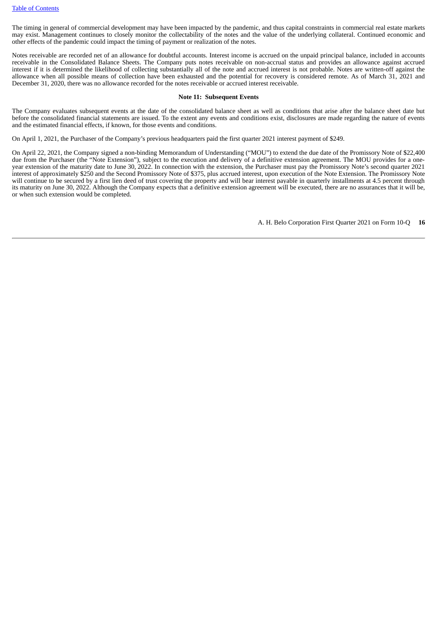The timing in general of commercial development may have been impacted by the pandemic, and thus capital constraints in commercial real estate markets may exist. Management continues to closely monitor the collectability of the notes and the value of the underlying collateral. Continued economic and other effects of the pandemic could impact the timing of payment or realization of the notes.

Notes receivable are recorded net of an allowance for doubtful accounts. Interest income is accrued on the unpaid principal balance, included in accounts receivable in the Consolidated Balance Sheets. The Company puts notes receivable on non-accrual status and provides an allowance against accrued interest if it is determined the likelihood of collecting substantially all of the note and accrued interest is not probable. Notes are written-off against the allowance when all possible means of collection have been exhausted and the potential for recovery is considered remote. As of March 31, 2021 and December 31, 2020, there was no allowance recorded for the notes receivable or accrued interest receivable.

#### **Note 11: Subsequent Events**

The Company evaluates subsequent events at the date of the consolidated balance sheet as well as conditions that arise after the balance sheet date but before the consolidated financial statements are issued. To the extent any events and conditions exist, disclosures are made regarding the nature of events and the estimated financial effects, if known, for those events and conditions.

On April 1, 2021, the Purchaser of the Company's previous headquarters paid the first quarter 2021 interest payment of \$249.

On April 22, 2021, the Company signed a non-binding Memorandum of Understanding ("MOU") to extend the due date of the Promissory Note of \$22,400 due from the Purchaser (the "Note Extension"), subject to the execution and delivery of a definitive extension agreement. The MOU provides for a oneyear extension of the maturity date to June 30, 2022. In connection with the extension, the Purchaser must pay the Promissory Note's second quarter 2021 interest of approximately \$250 and the Second Promissory Note of \$375, plus accrued interest, upon execution of the Note Extension. The Promissory Note will continue to be secured by a first lien deed of trust covering the property and will bear interest payable in quarterly installments at 4.5 percent through its maturity on June 30, 2022. Although the Company expects that a definitive extension agreement will be executed, there are no assurances that it will be, or when such extension would be completed.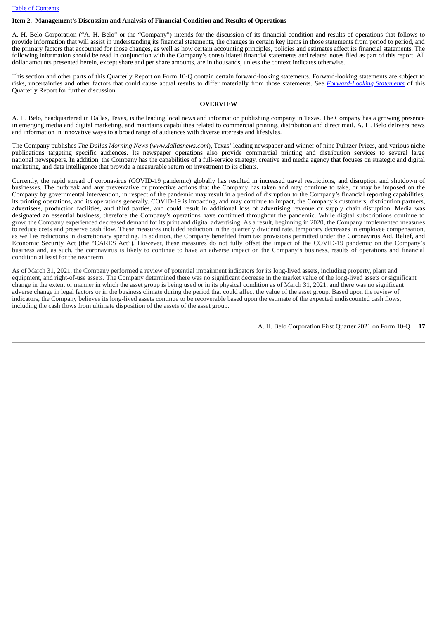#### Table of [Contents](#page-1-0)

# <span id="page-16-0"></span>**Item 2. Management's Discussion and Analysis of Financial Condition and Results of Operations**

A. H. Belo Corporation ("A. H. Belo" or the "Company") intends for the discussion of its financial condition and results of operations that follows to provide information that will assist in understanding its financial statements, the changes in certain key items in those statements from period to period, and the primary factors that accounted for those changes, as well as how certain accounting principles, policies and estimates affect its financial statements. The following information should be read in conjunction with the Company's consolidated financial statements and related notes filed as part of this report. All dollar amounts presented herein, except share and per share amounts, are in thousands, unless the context indicates otherwise.

This section and other parts of this Quarterly Report on Form 10-Q contain certain forward-looking statements. Forward-looking statements are subject to risks, uncertainties and other factors that could cause actual results to differ materially from those statements. See *[Forward-Looking](#page-24-1) Statements* of this Quarterly Report for further discussion.

#### **OVERVIEW**

A. H. Belo, headquartered in Dallas, Texas, is the leading local news and information publishing company in Texas. The Company has a growing presence in emerging media and digital marketing, and maintains capabilities related to commercial printing, distribution and direct mail. A. H. Belo delivers news and information in innovative ways to a broad range of audiences with diverse interests and lifestyles.

The Company publishes *The Dallas Morning News* (*www.dallasnews.com*), Texas' leading newspaper and winner of nine Pulitzer Prizes, and various niche publications targeting specific audiences. Its newspaper operations also provide commercial printing and distribution services to several large national newspapers. In addition, the Company has the capabilities of a full-service strategy, creative and media agency that focuses on strategic and digital marketing, and data intelligence that provide a measurable return on investment to its clients.

Currently, the rapid spread of coronavirus (COVID-19 pandemic) globally has resulted in increased travel restrictions, and disruption and shutdown of businesses. The outbreak and any preventative or protective actions that the Company has taken and may continue to take, or may be imposed on the Company by governmental intervention, in respect of the pandemic may result in a period of disruption to the Company's financial reporting capabilities, its printing operations, and its operations generally. COVID-19 is impacting, and may continue to impact, the Company's customers, distribution partners, advertisers, production facilities, and third parties, and could result in additional loss of advertising revenue or supply chain disruption. Media was designated an essential business, therefore the Company's operations have continued throughout the pandemic. While digital subscriptions continue to grow, the Company experienced decreased demand for its print and digital advertising. As a result, beginning in 2020, the Company implemented measures to reduce costs and preserve cash flow. These measures included reduction in the quarterly dividend rate, temporary decreases in employee compensation, as well as reductions in discretionary spending. In addition, the Company benefited from tax provisions permitted under the Coronavirus Aid, Relief, and Economic Security Act (the "CARES Act"). However, these measures do not fully offset the impact of the COVID-19 pandemic on the Company's business and, as such, the coronavirus is likely to continue to have an adverse impact on the Company's business, results of operations and financial condition at least for the near term.

As of March 31, 2021, the Company performed a review of potential impairment indicators for its long-lived assets, including property, plant and equipment, and right-of-use assets. The Company determined there was no significant decrease in the market value of the long-lived assets or significant change in the extent or manner in which the asset group is being used or in its physical condition as of March 31, 2021, and there was no significant adverse change in legal factors or in the business climate during the period that could affect the value of the asset group. Based upon the review of indicators, the Company believes its long-lived assets continue to be recoverable based upon the estimate of the expected undiscounted cash flows, including the cash flows from ultimate disposition of the assets of the asset group.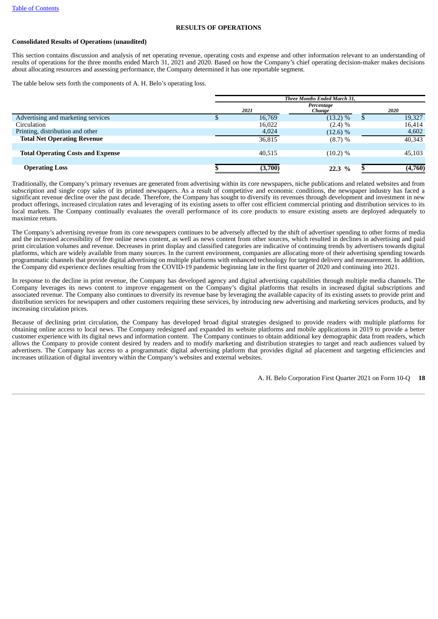#### **RESULTS OF OPERATIONS**

#### **Consolidated Results of Operations (unaudited)**

This section contains discussion and analysis of net operating revenue, operating costs and expense and other information relevant to an understanding of results of operations for the three months ended March 31, 2021 and 2020. Based on how the Company's chief operating decision-maker makes decisions about allocating resources and assessing performance, the Company determined it has one reportable segment.

The table below sets forth the components of A. H. Belo's operating loss.

|                                          | Three Months Ended March 31, |         |                      |  |         |  |  |  |
|------------------------------------------|------------------------------|---------|----------------------|--|---------|--|--|--|
|                                          |                              | 2021    | Percentage<br>Change |  | 2020    |  |  |  |
| Advertising and marketing services       |                              | 16,769  | $(13.2) \%$          |  | 19,327  |  |  |  |
| Circulation                              |                              | 16,022  | $(2.4) \%$           |  | 16,414  |  |  |  |
| Printing, distribution and other         |                              | 4,024   | (12.6) %             |  | 4,602   |  |  |  |
| <b>Total Net Operating Revenue</b>       |                              | 36,815  | $(8.7) \%$           |  | 40,343  |  |  |  |
|                                          |                              |         |                      |  |         |  |  |  |
| <b>Total Operating Costs and Expense</b> |                              | 40,515  | (10.2) %             |  | 45,103  |  |  |  |
|                                          |                              |         |                      |  |         |  |  |  |
| <b>Operating Loss</b>                    |                              | (3,700) | 22.3%                |  | (4,760) |  |  |  |

Traditionally, the Company's primary revenues are generated from advertising within its core newspapers, niche publications and related websites and from subscription and single copy sales of its printed newspapers. As a result of competitive and economic conditions, the newspaper industry has faced a significant revenue decline over the past decade. Therefore, the Company has sought to diversify its revenues through development and investment in new product offerings, increased circulation rates and leveraging of its existing assets to offer cost efficient commercial printing and distribution services to its local markets. The Company continually evaluates the overall performance of its core products to ensure existing assets are deployed adequately to maximize return.

The Company's advertising revenue from its core newspapers continues to be adversely affected by the shift of advertiser spending to other forms of media and the increased accessibility of free online news content, as well as news content from other sources, which resulted in declines in advertising and paid print circulation volumes and revenue. Decreases in print display and classified categories are indicative of continuing trends by advertisers towards digital platforms, which are widely available from many sources. In the current environment, companies are allocating more of their advertising spending towards programmatic channels that provide digital advertising on multiple platforms with enhanced technology for targeted delivery and measurement. In addition, the Company did experience declines resulting from the COVID-19 pandemic beginning late in the first quarter of 2020 and continuing into 2021.

In response to the decline in print revenue, the Company has developed agency and digital advertising capabilities through multiple media channels. The Company leverages its news content to improve engagement on the Company's digital platforms that results in increased digital subscriptions and associated revenue. The Company also continues to diversify its revenue base by leveraging the available capacity of its existing assets to provide print and distribution services for newspapers and other customers requiring these services, by introducing new advertising and marketing services products, and by increasing circulation prices.

Because of declining print circulation, the Company has developed broad digital strategies designed to provide readers with multiple platforms for obtaining online access to local news. The Company redesigned and expanded its website platforms and mobile applications in 2019 to provide a better customer experience with its digital news and information content. The Company continues to obtain additional key demographic data from readers, which allows the Company to provide content desired by readers and to modify marketing and distribution strategies to target and reach audiences valued by advertisers. The Company has access to a programmatic digital advertising platform that provides digital ad placement and targeting efficiencies and increases utilization of digital inventory within the Company's websites and external websites.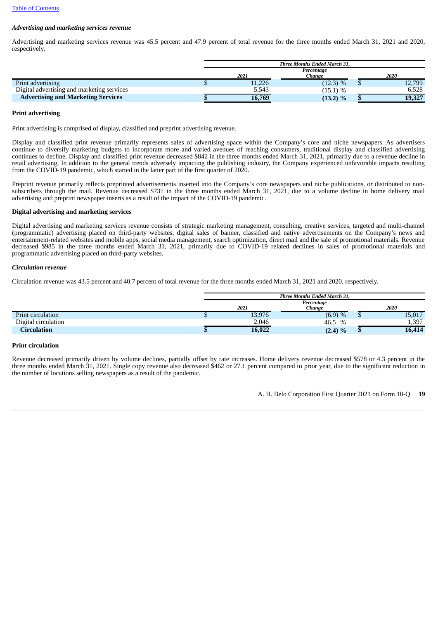# *Advertising and marketing services revenue*

Advertising and marketing services revenue was 45.5 percent and 47.9 percent of total revenue for the three months ended March 31, 2021 and 2020, respectively.

|                                            | Three Months Ended March 31, |            |  |        |  |  |  |
|--------------------------------------------|------------------------------|------------|--|--------|--|--|--|
|                                            |                              | Percentage |  |        |  |  |  |
|                                            | 2021                         | Chanae     |  | 2020   |  |  |  |
| Print advertising                          | 11,226                       | (12.3) %   |  | 12,799 |  |  |  |
| Digital advertising and marketing services | 5,543                        | $(15.1)$ % |  | 6,528  |  |  |  |
| <b>Advertising and Marketing Services</b>  | 16,769                       | (13.2) %   |  | 19,327 |  |  |  |

#### **Print advertising**

Print advertising is comprised of display, classified and preprint advertising revenue.

Display and classified print revenue primarily represents sales of advertising space within the Company's core and niche newspapers. As advertisers continue to diversify marketing budgets to incorporate more and varied avenues of reaching consumers, traditional display and classified advertising continues to decline. Display and classified print revenue decreased \$842 in the three months ended March 31, 2021, primarily due to a revenue decline in retail advertising. In addition to the general trends adversely impacting the publishing industry, the Company experienced unfavorable impacts resulting from the COVID-19 pandemic, which started in the latter part of the first quarter of 2020.

Preprint revenue primarily reflects preprinted advertisements inserted into the Company's core newspapers and niche publications, or distributed to nonsubscribers through the mail. Revenue decreased \$731 in the three months ended March 31, 2021, due to a volume decline in home delivery mail advertising and preprint newspaper inserts as a result of the impact of the COVID-19 pandemic.

#### **Digital advertising and marketing services**

Digital advertising and marketing services revenue consists of strategic marketing management, consulting, creative services, targeted and multi-channel (programmatic) advertising placed on third-party websites, digital sales of banner, classified and native advertisements on the Company's news and entertainment-related websites and mobile apps, social media management, search optimization, direct mail and the sale of promotional materials. Revenue decreased \$985 in the three months ended March 31, 2021, primarily due to COVID-19 related declines in sales of promotional materials and programmatic advertising placed on third-party websites.

#### *Circulation revenue*

Circulation revenue was 43.5 percent and 40.7 percent of total revenue for the three months ended March 31, 2021 and 2020, respectively.

|                     |        | Three Months Ended March 31, |        |
|---------------------|--------|------------------------------|--------|
|                     | 2021   | Percentage<br>Chanae         | 2020   |
| Print circulation   | 13,976 | (6.9) %                      | 15,017 |
| Digital circulation | 2,046  | 46.5<br>$\%$                 | 1,397  |
| Circulation         | 16,022 | $(2.4) \%$                   | 16,414 |

#### **Print circulation**

Revenue decreased primarily driven by volume declines, partially offset by rate increases. Home delivery revenue decreased \$578 or 4.3 percent in the three months ended March 31, 2021. Single copy revenue also decreased \$462 or 27.1 percent compared to prior year, due to the significant reduction in the number of locations selling newspapers as a result of the pandemic.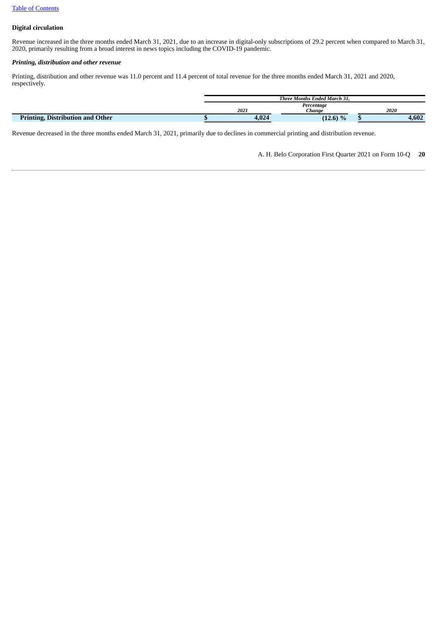# **Digital circulation**

Revenue increased in the three months ended March 31, 2021, due to an increase in digital-only subscriptions of 29.2 percent when compared to March 31, 2020, primarily resulting from a broad interest in news topics including the COVID-19 pandemic.

### *Printing, distribution and other revenue*

Printing, distribution and other revenue was 11.0 percent and 11.4 percent of total revenue for the three months ended March 31, 2021 and 2020, respectively.

|                                         | Three Months Ended March 31. |            |  |       |  |
|-----------------------------------------|------------------------------|------------|--|-------|--|
|                                         |                              | Percentage |  |       |  |
|                                         | 2021                         | Chanae     |  | 2020  |  |
| <b>Printing, Distribution and Other</b> | 4,024                        | $(12.6)$ % |  | 4,602 |  |

Revenue decreased in the three months ended March 31, 2021, primarily due to declines in commercial printing and distribution revenue.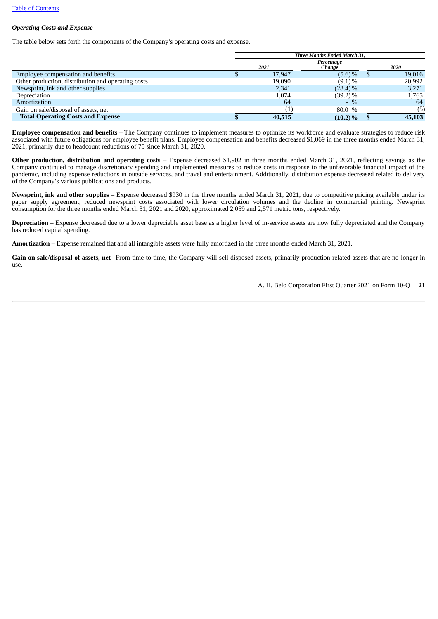# *Operating Costs and Expense*

The table below sets forth the components of the Company's operating costs and expense.

|                                                    | <b>Three Months Ended March 31.</b> |        |                      |  |        |  |  |  |
|----------------------------------------------------|-------------------------------------|--------|----------------------|--|--------|--|--|--|
|                                                    |                                     | 2021   | Percentage<br>Change |  | 2020   |  |  |  |
| Employee compensation and benefits                 |                                     | 17.947 | $(5.6) \%$           |  | 19,016 |  |  |  |
| Other production, distribution and operating costs |                                     | 19.090 | $(9.1)\%$            |  | 20,992 |  |  |  |
| Newsprint, ink and other supplies                  |                                     | 2.341  | $(28.4)\%$           |  | 3,271  |  |  |  |
| Depreciation                                       |                                     | 1,074  | $(39.2)\%$           |  | 1,765  |  |  |  |
| Amortization                                       |                                     | 64     | $-$ %                |  | 64     |  |  |  |
| Gain on sale/disposal of assets, net               |                                     |        | 80.0 %               |  | (5)    |  |  |  |
| <b>Total Operating Costs and Expense</b>           |                                     | 40,515 | $(10.2)\%$           |  | 45,103 |  |  |  |

**Employee compensation and benefits** – The Company continues to implement measures to optimize its workforce and evaluate strategies to reduce risk associated with future obligations for employee benefit plans. Employee compensation and benefits decreased \$1,069 in the three months ended March 31, 2021, primarily due to headcount reductions of 75 since March 31, 2020.

**Other production, distribution and operating costs** – Expense decreased \$1,902 in three months ended March 31, 2021, reflecting savings as the Company continued to manage discretionary spending and implemented measures to reduce costs in response to the unfavorable financial impact of the pandemic, including expense reductions in outside services, and travel and entertainment. Additionally, distribution expense decreased related to delivery of the Company's various publications and products.

**Newsprint, ink and other supplies** – Expense decreased \$930 in the three months ended March 31, 2021, due to competitive pricing available under its paper supply agreement, reduced newsprint costs associated with lower circulation volumes and the decline in commercial printing. Newsprint consumption for the three months ended March 31, 2021 and 2020, approximated 2,059 and 2,571 metric tons, respectively.

**Depreciation** – Expense decreased due to a lower depreciable asset base as a higher level of in-service assets are now fully depreciated and the Company has reduced capital spending.

**Amortization** – Expense remained flat and all intangible assets were fully amortized in the three months ended March 31, 2021.

**Gain on sale/disposal of assets, net** –From time to time, the Company will sell disposed assets, primarily production related assets that are no longer in use.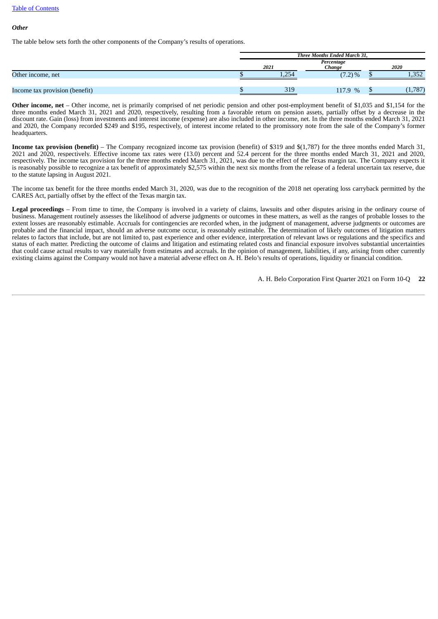#### Table of [Contents](#page-1-0)

#### *Other*

The table below sets forth the other components of the Company's results of operations.

|                                | Three Months Ended March 31, |       |                      |  |       |  |  |
|--------------------------------|------------------------------|-------|----------------------|--|-------|--|--|
|                                |                              | 2021  | Percentage<br>Chanae |  | 2020  |  |  |
| Other income, net              |                              | 1,254 | $(7.2) \%$           |  | 1,352 |  |  |
| Income tax provision (benefit) |                              | 319   | 117.9 %              |  | 1,787 |  |  |

**Other income, net** – Other income, net is primarily comprised of net periodic pension and other post-employment benefit of \$1,035 and \$1,154 for the three months ended March 31, 2021 and 2020, respectively, resulting from a favorable return on pension assets, partially offset by a decrease in the discount rate. Gain (loss) from investments and interest income (expense) are also included in other income, net. In the three months ended March 31, 2021 and 2020, the Company recorded \$249 and \$195, respectively, of interest income related to the promissory note from the sale of the Company's former headquarters.

**Income tax provision (benefit)** – The Company recognized income tax provision (benefit) of \$319 and \$(1,787) for the three months ended March 31, 2021 and 2020, respectively. Effective income tax rates were (13.0) percent and 52.4 percent for the three months ended March 31, 2021 and 2020, respectively. The income tax provision for the three months ended March 31, 2021, was due to the effect of the Texas margin tax. The Company expects it is reasonably possible to recognize a tax benefit of approximately \$2,575 within the next six months from the release of a federal uncertain tax reserve, due to the statute lapsing in August 2021.

The income tax benefit for the three months ended March 31, 2020, was due to the recognition of the 2018 net operating loss carryback permitted by the CARES Act, partially offset by the effect of the Texas margin tax.

**Legal proceedings** – From time to time, the Company is involved in a variety of claims, lawsuits and other disputes arising in the ordinary course of business. Management routinely assesses the likelihood of adverse judgments or outcomes in these matters, as well as the ranges of probable losses to the extent losses are reasonably estimable. Accruals for contingencies are recorded when, in the judgment of management, adverse judgments or outcomes are probable and the financial impact, should an adverse outcome occur, is reasonably estimable. The determination of likely outcomes of litigation matters relates to factors that include, but are not limited to, past experience and other evidence, interpretation of relevant laws or regulations and the specifics and status of each matter. Predicting the outcome of claims and litigation and estimating related costs and financial exposure involves substantial uncertainties that could cause actual results to vary materially from estimates and accruals. In the opinion of management, liabilities, if any, arising from other currently existing claims against the Company would not have a material adverse effect on A. H. Belo's results of operations, liquidity or financial condition.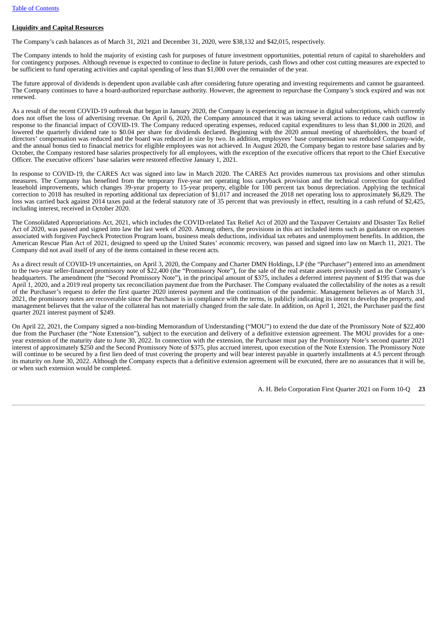# **Liquidity and Capital Resources**

The Company's cash balances as of March 31, 2021 and December 31, 2020, were \$38,132 and \$42,015, respectively.

The Company intends to hold the majority of existing cash for purposes of future investment opportunities, potential return of capital to shareholders and for contingency purposes. Although revenue is expected to continue to decline in future periods, cash flows and other cost cutting measures are expected to be sufficient to fund operating activities and capital spending of less than \$1,000 over the remainder of the year.

The future approval of dividends is dependent upon available cash after considering future operating and investing requirements and cannot be guaranteed. The Company continues to have a board-authorized repurchase authority. However, the agreement to repurchase the Company's stock expired and was not renewed.

As a result of the recent COVID-19 outbreak that began in January 2020, the Company is experiencing an increase in digital subscriptions, which currently does not offset the loss of advertising revenue. On April 6, 2020, the Company announced that it was taking several actions to reduce cash outflow in response to the financial impact of COVID-19. The Company reduced operating expenses, reduced capital expenditures to less than \$1,000 in 2020, and lowered the quarterly dividend rate to \$0.04 per share for dividends declared. Beginning with the 2020 annual meeting of shareholders, the board of directors' compensation was reduced and the board was reduced in size by two. In addition, employees' base compensation was reduced Company-wide, and the annual bonus tied to financial metrics for eligible employees was not achieved. In August 2020, the Company began to restore base salaries and by October, the Company restored base salaries prospectively for all employees, with the exception of the executive officers that report to the Chief Executive Officer. The executive officers' base salaries were restored effective January 1, 2021.

In response to COVID-19, the CARES Act was signed into law in March 2020. The CARES Act provides numerous tax provisions and other stimulus measures. The Company has benefited from the temporary five-year net operating loss carryback provision and the technical correction for qualified leasehold improvements, which changes 39-year property to 15-year property, eligible for 100 percent tax bonus depreciation. Applying the technical correction to 2018 has resulted in reporting additional tax depreciation of \$1,017 and increased the 2018 net operating loss to approximately \$6,829. The loss was carried back against 2014 taxes paid at the federal statutory rate of 35 percent that was previously in effect, resulting in a cash refund of \$2,425, including interest, received in October 2020.

The Consolidated Appropriations Act, 2021, which includes the COVID-related Tax Relief Act of 2020 and the Taxpayer Certainty and Disaster Tax Relief Act of 2020, was passed and signed into law the last week of 2020. Among others, the provisions in this act included items such as guidance on expenses associated with forgiven Paycheck Protection Program loans, business meals deductions, individual tax rebates and unemployment benefits. In addition, the American Rescue Plan Act of 2021, designed to speed up the United States' economic recovery, was passed and signed into law on March 11, 2021. The Company did not avail itself of any of the items contained in these recent acts.

As a direct result of COVID-19 uncertainties, on April 3, 2020, the Company and Charter DMN Holdings, LP (the "Purchaser") entered into an amendment to the two-year seller-financed promissory note of \$22,400 (the "Promissory Note"), for the sale of the real estate assets previously used as the Company's headquarters. The amendment (the "Second Promissory Note"), in the principal amount of \$375, includes a deferred interest payment of \$195 that was due April 1, 2020, and a 2019 real property tax reconciliation payment due from the Purchaser. The Company evaluated the collectability of the notes as a result of the Purchaser's request to defer the first quarter 2020 interest payment and the continuation of the pandemic. Management believes as of March 31, 2021, the promissory notes are recoverable since the Purchaser is in compliance with the terms, is publicly indicating its intent to develop the property, and management believes that the value of the collateral has not materially changed from the sale date. In addition, on April 1, 2021, the Purchaser paid the first quarter 2021 interest payment of \$249.

On April 22, 2021, the Company signed a non-binding Memorandum of Understanding ("MOU") to extend the due date of the Promissory Note of \$22,400 due from the Purchaser (the "Note Extension"), subject to the execution and delivery of a definitive extension agreement. The MOU provides for a oneyear extension of the maturity date to June 30, 2022. In connection with the extension, the Purchaser must pay the Promissory Note's second quarter 2021 interest of approximately \$250 and the Second Promissory Note of \$375, plus accrued interest, upon execution of the Note Extension. The Promissory Note will continue to be secured by a first lien deed of trust covering the property and will bear interest payable in quarterly installments at 4.5 percent through its maturity on June 30, 2022. Although the Company expects that a definitive extension agreement will be executed, there are no assurances that it will be, or when such extension would be completed.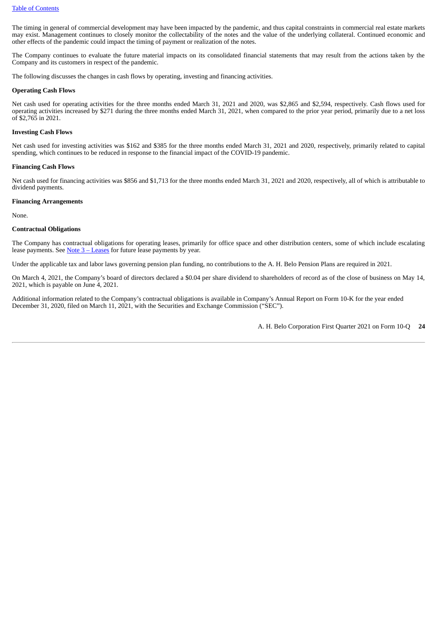The timing in general of commercial development may have been impacted by the pandemic, and thus capital constraints in commercial real estate markets may exist. Management continues to closely monitor the collectability of the notes and the value of the underlying collateral. Continued economic and other effects of the pandemic could impact the timing of payment or realization of the notes.

The Company continues to evaluate the future material impacts on its consolidated financial statements that may result from the actions taken by the Company and its customers in respect of the pandemic.

The following discusses the changes in cash flows by operating, investing and financing activities.

#### **Operating Cash Flows**

Net cash used for operating activities for the three months ended March 31, 2021 and 2020, was \$2,865 and \$2,594, respectively. Cash flows used for operating activities increased by \$271 during the three months ended March 31, 2021, when compared to the prior year period, primarily due to a net loss of \$2,765 in 2021.

#### **Investing Cash Flows**

Net cash used for investing activities was \$162 and \$385 for the three months ended March 31, 2021 and 2020, respectively, primarily related to capital spending, which continues to be reduced in response to the financial impact of the COVID-19 pandemic.

#### **Financing Cash Flows**

Net cash used for financing activities was \$856 and \$1,713 for the three months ended March 31, 2021 and 2020, respectively, all of which is attributable to dividend payments.

#### **Financing Arrangements**

None.

#### **Contractual Obligations**

The Company has contractual obligations for operating leases, primarily for office space and other distribution centers, some of which include escalating lease payments. See  $Note 3 - Leases$  $Note 3 - Leases$  $Note 3 - Leases$  for future lease payments by year.</u>

Under the applicable tax and labor laws governing pension plan funding, no contributions to the A. H. Belo Pension Plans are required in 2021.

On March 4, 2021, the Company's board of directors declared a \$0.04 per share dividend to shareholders of record as of the close of business on May 14, 2021, which is payable on June 4, 2021.

Additional information related to the Company's contractual obligations is available in Company's Annual Report on Form 10-K for the year ended December 31, 2020, filed on March 11, 2021, with the Securities and Exchange Commission ("SEC").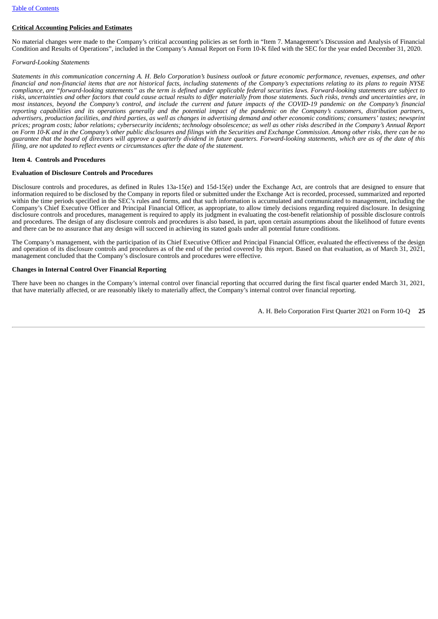# **Critical Accounting Policies and Estimates**

No material changes were made to the Company's critical accounting policies as set forth in "Item 7. Management's Discussion and Analysis of Financial Condition and Results of Operations", included in the Company's Annual Report on Form 10-K filed with the SEC for the year ended December 31, 2020.

#### <span id="page-24-1"></span>*Forward-Looking Statements*

Statements in this communication concerning A. H. Belo Corporation's business outlook or future economic performance, revenues, expenses, and other financial and non-financial items that are not historical facts, including statements of the Company's expectations relating to its plans to regain NYSE compliance, are "forward-looking statements" as the term is defined under applicable federal securities laws. Forward-looking statements are subject to risks, uncertainties and other factors that could cause actual results to differ materially from those statements. Such risks, trends and uncertainties are, in most instances, beyond the Company's control, and include the current and future impacts of the COVID-19 pandemic on the Company's financial reporting capabilities and its operations generally and the potential impact of the pandemic on the Company's customers, distribution partners, advertisers, production facilities, and third parties, as well as changes in advertising demand and other economic conditions; consumers' tastes; newsprint prices; program costs; labor relations; cybersecurity incidents; technology obsolescence; as well as other risks described in the Company's Annual Report on Form 10-K and in the Company's other public disclosures and filings with the Securities and Exchange Commission. Among other risks, there can be no guarantee that the board of directors will approve a quarterly dividend in future quarters. Forward-looking statements, which are as of the date of this *filing, are not updated to reflect events or circumstances after the date of the statement.*

#### <span id="page-24-0"></span>**Item 4. Controls and Procedures**

#### **Evaluation of Disclosure Controls and Procedures**

Disclosure controls and procedures, as defined in Rules 13a-15(e) and 15d-15(e) under the Exchange Act, are controls that are designed to ensure that information required to be disclosed by the Company in reports filed or submitted under the Exchange Act is recorded, processed, summarized and reported within the time periods specified in the SEC's rules and forms, and that such information is accumulated and communicated to management, including the Company's Chief Executive Officer and Principal Financial Officer, as appropriate, to allow timely decisions regarding required disclosure. In designing disclosure controls and procedures, management is required to apply its judgment in evaluating the cost-benefit relationship of possible disclosure controls and procedures. The design of any disclosure controls and procedures is also based, in part, upon certain assumptions about the likelihood of future events and there can be no assurance that any design will succeed in achieving its stated goals under all potential future conditions.

The Company's management, with the participation of its Chief Executive Officer and Principal Financial Officer, evaluated the effectiveness of the design and operation of its disclosure controls and procedures as of the end of the period covered by this report. Based on that evaluation, as of March 31, 2021, management concluded that the Company's disclosure controls and procedures were effective.

#### **Changes in Internal Control Over Financial Reporting**

There have been no changes in the Company's internal control over financial reporting that occurred during the first fiscal quarter ended March 31, 2021, that have materially affected, or are reasonably likely to materially affect, the Company's internal control over financial reporting.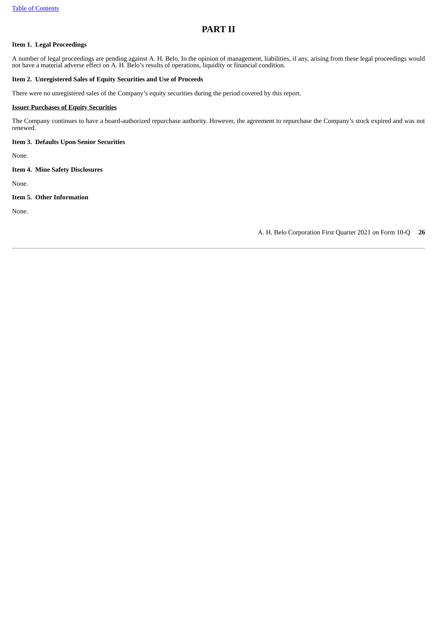# <span id="page-25-0"></span>**PART II**

#### <span id="page-25-1"></span>**Item 1. Legal Proceedings**

A number of legal proceedings are pending against A. H. Belo. In the opinion of management, liabilities, if any, arising from these legal proceedings would not have a material adverse effect on A. H. Belo's results of operations, liquidity or financial condition.

### <span id="page-25-2"></span>**Item 2. Unregistered Sales of Equity Securities and Use of Proceeds**

There were no unregistered sales of the Company's equity securities during the period covered by this report.

#### **Issuer Purchases of Equity Securities**

The Company continues to have a board-authorized repurchase authority. However, the agreement to repurchase the Company's stock expired and was not renewed.

<span id="page-25-3"></span>**Item 3. Defaults Upon Senior Securities**

None.

<span id="page-25-4"></span>**Item 4. Mine Safety Disclosures**

None.

<span id="page-25-5"></span>**Item 5. Other Information**

None.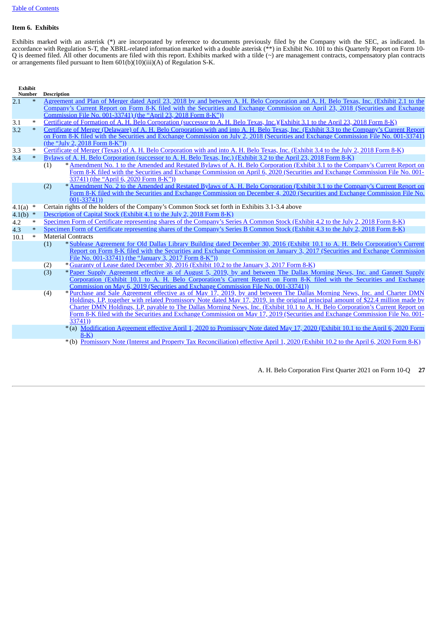# <span id="page-26-0"></span>**Item 6. Exhibits**

Exhibits marked with an asterisk (\*) are incorporated by reference to documents previously filed by the Company with the SEC, as indicated. In accordance with Regulation S-T, the XBRL-related information marked with a double asterisk (\*\*) in Exhibit No. 101 to this Quarterly Report on Form 10-  $Q$  is deemed filed. All other documents are filed with this report. Exhibits marked with a tilde  $(\sim)$  are management contracts, compensatory plan contracts or arrangements filed pursuant to Item 601(b)(10)(iii)(A) of Regulation S-K.

**Exhibit Nescription** 

| Number     |        | Description                                                                                                                                  |
|------------|--------|----------------------------------------------------------------------------------------------------------------------------------------------|
| 2.1        | $\ast$ | Agreement and Plan of Merger dated April 23, 2018 by and between A. H. Belo Corporation and A. H. Belo Texas, Inc. (Exhibit 2.1 to the       |
|            |        | Company's Current Report on Form 8-K filed with the Securities and Exchange Commission on April 23, 2018 (Securities and Exchange            |
|            |        | Commission File No. 001-33741) (the "April 23, 2018 Form 8-K"))                                                                              |
| 3.1        | $\ast$ | Certificate of Formation of A. H. Belo Corporation (successor to A. H. Belo Texas, Inc.)(Exhibit 3.1 to the April 23, 2018 Form 8-K)         |
| 3.2        | $\ast$ | Certificate of Merger (Delaware) of A. H. Belo Corporation with and into A. H. Belo Texas, Inc. (Exhibit 3.3 to the Company's Current Report |
|            |        | on Form 8-K filed with the Securities and Exchange Commission on July 2, 2018 (Securities and Exchange Commission File No. 001-33741)        |
|            |        | (the "July 2, 2018 Form 8-K"))                                                                                                               |
| 3.3        | $\ast$ | Certificate of Merger (Texas) of A. H. Belo Corporation with and into A. H. Belo Texas, Inc. (Exhibit 3.4 to the July 2, 2018 Form 8-K)      |
| 3.4        | $\ast$ | Bylaws of A. H. Belo Corporation (successor to A. H. Belo Texas, Inc.) (Exhibit 3.2 to the April 23, 2018 Form 8-K)                          |
|            |        | * Amendment No. 1 to the Amended and Restated Bylaws of A. H. Belo Corporation (Exhibit 3.1 to the Company's Current Report on<br>(1)        |
|            |        | Form 8-K filed with the Securities and Exchange Commission on April 6, 2020 (Securities and Exchange Commission File No. 001-                |
|            |        | 33741) (the "April 6, 2020 Form 8-K"))                                                                                                       |
|            |        | * Amendment No. 2 to the Amended and Restated Bylaws of A. H. Belo Corporation (Exhibit 3.1 to the Company's Current Report on<br>(2)        |
|            |        | Form 8-K filed with the Securities and Exchange Commission on December 4, 2020 (Securities and Exchange Commission File No.                  |
|            |        | $001 - 33741)$                                                                                                                               |
| 4.1(a) $*$ |        | Certain rights of the holders of the Company's Common Stock set forth in Exhibits 3.1-3.4 above                                              |
| 4.1(b) $*$ |        | Description of Capital Stock (Exhibit 4.1 to the July 2, 2018 Form 8-K)                                                                      |
| 4.2        | $\ast$ | Specimen Form of Certificate representing shares of the Company's Series A Common Stock (Exhibit 4.2 to the July 2, 2018 Form 8-K)           |
| 4.3        | $\ast$ | Specimen Form of Certificate representing shares of the Company's Series B Common Stock (Exhibit 4.3 to the July 2, 2018 Form 8-K)           |
| 10.1       | $\ast$ | <b>Material Contracts</b>                                                                                                                    |
|            |        | * Sublease Agreement for Old Dallas Library Building dated December 30, 2016 (Exhibit 10.1 to A. H. Belo Corporation's Current<br>(1)        |
|            |        | Report on Form 8-K filed with the Securities and Exchange Commission on January 3, 2017 (Securities and Exchange Commission                  |
|            |        | File No. 001-33741) (the "January 3, 2017 Form 8-K"))                                                                                        |
|            |        | * Guaranty of Lease dated December 30, 2016 (Exhibit 10.2 to the January 3, 2017 Form 8-K)<br>(2)                                            |
|            |        | *Paper Supply Agreement effective as of August 5, 2019, by and between The Dallas Morning News, Inc. and Gannett Supply<br>(3)               |
|            |        | Corporation (Exhibit 10.1 to A. H. Belo Corporation's Current Report on Form 8-K filed with the Securities and Exchange                      |
|            |        | Commission on May 6, 2019 (Securities and Exchange Commission File No. 001-33741))                                                           |
|            |        | *Purchase and Sale Agreement effective as of May 17, 2019, by and between The Dallas Morning News, Inc. and Charter DMN<br>(4)               |
|            |        | Holdings, LP, together with related Promissory Note dated May 17, 2019, in the original principal amount of \$22.4 million made by           |
|            |        | Charter DMN Holdings, LP, payable to The Dallas Morning News, Inc. (Exhibit 10.1 to A. H. Belo Corporation's Current Report on               |
|            |        | Form 8-K filed with the Securities and Exchange Commission on May 17, 2019 (Securities and Exchange Commission File No. 001-                 |
|            |        | 33741)                                                                                                                                       |
|            |        | *(a) Modification Agreement effective April 1, 2020 to Promissory Note dated May 17, 2020 (Exhibit 10.1 to the April 6, 2020 Form            |
|            |        | $8-K$ )                                                                                                                                      |
|            |        | *(b) Promissory Note (Interest and Property Tax Reconciliation) effective April 1, 2020 (Exhibit 10.2 to the April 6, 2020 Form 8-K)         |
|            |        |                                                                                                                                              |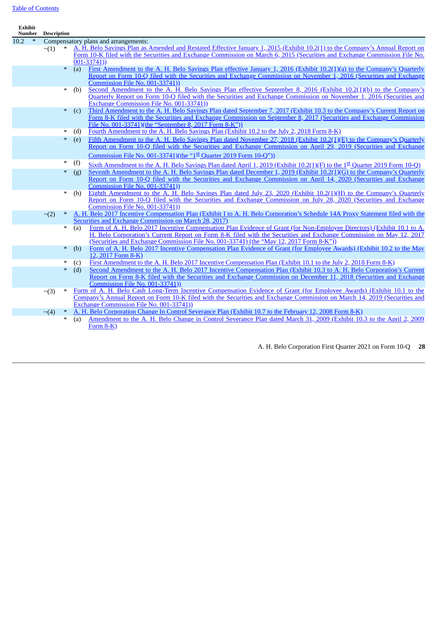# Table of [Contents](#page-1-0)

| <b>Exhibit</b> | Number | <b>Description</b> |        |     |                                                                                                                                                       |
|----------------|--------|--------------------|--------|-----|-------------------------------------------------------------------------------------------------------------------------------------------------------|
| 10.2           | $\ast$ |                    |        |     | Compensatory plans and arrangements:                                                                                                                  |
|                |        |                    |        |     | A. H. Belo Savings Plan as Amended and Restated Effective January 1, 2015 (Exhibit 10.2(1) to the Company's Annual Report on                          |
|                |        | $\sim$ (1)         |        |     | Form 10-K filed with the Securities and Exchange Commission on March 6, 2015 (Securities and Exchange Commission File No.                             |
|                |        |                    |        |     | $001 - 33741)$                                                                                                                                        |
|                |        |                    | $\ast$ | (a) | First Amendment to the A. H. Belo Savings Plan effective January 1, 2016 (Exhibit 10.2(1)(a) to the Company's Quarterly                               |
|                |        |                    |        |     | Report on Form 10-Q filed with the Securities and Exchange Commission on November 1, 2016 (Securities and Exchange                                    |
|                |        |                    |        |     | <b>Commission File No. 001-33741))</b>                                                                                                                |
|                |        |                    | $\ast$ | (b) | Second Amendment to the A. H. Belo Savings Plan effective September 8, 2016 (Exhibit 10.2(1)(b) to the Company's                                      |
|                |        |                    |        |     | Quarterly Report on Form 10-Q filed with the Securities and Exchange Commission on November 1, 2016 (Securities and                                   |
|                |        |                    |        |     | Exchange Commission File No. 001-33741))                                                                                                              |
|                |        |                    | $\ast$ | (c) | Third Amendment to the A. H. Belo Savings Plan dated September 7, 2017 (Exhibit 10.3 to the Company's Current Report on                               |
|                |        |                    |        |     | Form 8-K filed with the Securities and Exchange Commission on September 8, 2017 (Securities and Exchange Commission                                   |
|                |        |                    |        |     | File No. 001-33741)(the "September 8, 2017 Form 8-K"))                                                                                                |
|                |        |                    | ∗      | (d) | Fourth Amendment to the A. H. Belo Savings Plan (Exhibit 10.2 to the July 2, 2018 Form 8-K)                                                           |
|                |        |                    | $\ast$ | (e) | Fifth Amendment to the A. H. Belo Savings Plan dated November 27, 2018 (Exhibit 10.2(1)(E) to the Company's Quarterly                                 |
|                |        |                    |        |     | Report on Form 10-Q filed with the Securities and Exchange Commission on April 29, 2019 (Securities and Exchange                                      |
|                |        |                    |        |     | Commission File No. 001-33741)(the " $1st$ Quarter 2019 Form 10-Q"))                                                                                  |
|                |        |                    | ∗      | (f) | Sixth Amendment to the A. H. Belo Savings Plan dated April 1, 2019 (Exhibit 10.2(1)(F) to the $1st$ Quarter 2019 Form 10-Q)                           |
|                |        |                    | $\ast$ | (g) | Seventh Amendment to the A. H. Belo Savings Plan dated December 1, 2019 (Exhibit 10.2(1)(G) to the Company's Quarterly                                |
|                |        |                    |        |     | Report on Form 10-Q filed with the Securities and Exchange Commission on April 14, 2020 (Securities and Exchange                                      |
|                |        |                    |        |     | Commission File No. 001-33741))                                                                                                                       |
|                |        |                    | $\ast$ | (h) | Eighth Amendment to the A. H. Belo Savings Plan dated July 23, 2020 (Exhibit $10.2(1)(H)$ to the Company's Quarterly                                  |
|                |        |                    |        |     | Report on Form 10-Q filed with the Securities and Exchange Commission on July 28, 2020 (Securities and Exchange                                       |
|                |        |                    |        |     | Commission File No. 001-33741)                                                                                                                        |
|                |        | $\sim$ (2)         |        |     | A. H. Belo 2017 Incentive Compensation Plan (Exhibit I to A. H. Belo Corporation's Schedule 14A Proxy Statement filed with the                        |
|                |        |                    |        |     | Securities and Exchange Commission on March 28, 2017)                                                                                                 |
|                |        |                    | $\ast$ | (a) | Form of A. H. Belo 2017 Incentive Compensation Plan Evidence of Grant (for Non-Employee Directors) (Exhibit 10.1 to A.                                |
|                |        |                    |        |     | H. Belo Corporation's Current Report on Form 8-K filed with the Securities and Exchange Commission on May 12, 2017                                    |
|                |        |                    |        |     | (Securities and Exchange Commission File No. 001-33741) (the "May 12, 2017 Form 8-K"))                                                                |
|                |        |                    | $\ast$ | (b) | Form of A. H. Belo 2017 Incentive Compensation Plan Evidence of Grant (for Employee Awards) (Exhibit 10.2 to the May                                  |
|                |        |                    |        |     | 12, 2017 Form 8-K)                                                                                                                                    |
|                |        |                    | $\ast$ | (c) | First Amendment to the A. H. Belo 2017 Incentive Compensation Plan (Exhibit 10.1 to the July 2, 2018 Form 8-K)                                        |
|                |        |                    | $\ast$ | (d) | Second Amendment to the A. H. Belo 2017 Incentive Compensation Plan (Exhibit 10.3 to A. H. Belo Corporation's Current                                 |
|                |        |                    |        |     | Report on Form 8-K filed with the Securities and Exchange Commission on December 11, 2018 (Securities and Exchange<br>Commission File No. 001-33741)) |
|                |        |                    | $\ast$ |     | Form of A. H. Belo Cash Long-Term Incentive Compensation Evidence of Grant (for Employee Awards) (Exhibit 10.1 to the                                 |
|                |        | $\sim$ (3)         |        |     | Company's Annual Report on Form 10-K filed with the Securities and Exchange Commission on March 14, 2019 (Securities and                              |
|                |        |                    |        |     | Exchange Commission File No. 001-33741))                                                                                                              |
|                |        | $\sim$ (4)         | $\ast$ |     | A. H. Belo Corporation Change In Control Severance Plan (Exhibit 10.7 to the February 12, 2008 Form 8-K)                                              |
|                |        |                    | $\ast$ | (a) | Amendment to the A. H. Belo Change in Control Severance Plan dated March 31, 2009 (Exhibit 10.3 to the April 2, 2009                                  |
|                |        |                    |        |     | Form $8-K$ )                                                                                                                                          |
|                |        |                    |        |     |                                                                                                                                                       |
|                |        |                    |        |     |                                                                                                                                                       |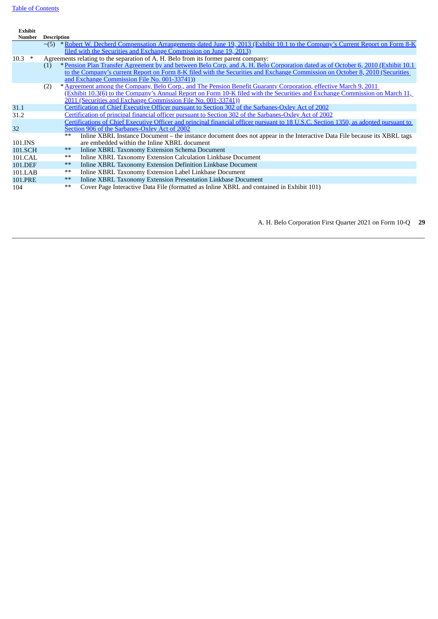**Exhibit**

| Number   | <b>Description</b> |                                                                                     |                                                                                                                                        |  |
|----------|--------------------|-------------------------------------------------------------------------------------|----------------------------------------------------------------------------------------------------------------------------------------|--|
|          |                    |                                                                                     | $\sim$ (5) * Robert W. Decherd Compensation Arrangements dated June 19, 2013 (Exhibit 10.1 to the Company's Current Report on Form 8-K |  |
|          |                    |                                                                                     | filed with the Securities and Exchange Commission on June 19, 2013)                                                                    |  |
| $10.3$ * |                    | Agreements relating to the separation of A, H. Belo from its former parent company: |                                                                                                                                        |  |
|          | (1)                |                                                                                     | * Pension Plan Transfer Agreement by and between Belo Corp. and A. H. Belo Corporation dated as of October 6, 2010 (Exhibit 10.1)      |  |
|          |                    |                                                                                     | to the Company's current Report on Form 8-K filed with the Securities and Exchange Commission on October 8, 2010 (Securities           |  |
|          |                    |                                                                                     | and Exchange Commission File No. 001-33741)                                                                                            |  |
|          | (2)                |                                                                                     | * Agreement among the Company, Belo Corp., and The Pension Benefit Guaranty Corporation, effective March 9, 2011                       |  |
|          |                    |                                                                                     | (Exhibit 10.3(6) to the Company's Annual Report on Form 10-K filed with the Securities and Exchange Commission on March 11,            |  |
|          |                    |                                                                                     | 2011 (Securities and Exchange Commission File No. 001-33741))                                                                          |  |
| 31.1     |                    |                                                                                     | Certification of Chief Executive Officer pursuant to Section 302 of the Sarbanes-Oxley Act of 2002                                     |  |
| 31.2     |                    |                                                                                     | Certification of principal financial officer pursuant to Section 302 of the Sarbanes-Oxley Act of 2002                                 |  |
|          |                    |                                                                                     | Certifications of Chief Executive Officer and principal financial officer pursuant to 18 U.S.C. Section 1350, as adopted pursuant to   |  |
| 32       |                    |                                                                                     | Section 906 of the Sarbanes-Oxley Act of 2002                                                                                          |  |
|          |                    | $**$                                                                                | Inline XBRL Instance Document – the instance document does not appear in the Interactive Data File because its XBRL tags               |  |
| 101.INS  |                    |                                                                                     | are embedded within the Inline XBRL document                                                                                           |  |
| 101.SCH  |                    | $***$                                                                               | Inline XBRL Taxonomy Extension Schema Document                                                                                         |  |
| 101.CAL  |                    | **                                                                                  | Inline XBRL Taxonomy Extension Calculation Linkbase Document                                                                           |  |
| 101.DEF  |                    | $***$                                                                               | Inline XBRL Taxonomy Extension Definition Linkbase Document                                                                            |  |
| 101.LAB  |                    | $***$                                                                               | Inline XBRL Taxonomy Extension Label Linkbase Document                                                                                 |  |
| 101.PRE  |                    | $***$                                                                               | Inline XBRL Taxonomy Extension Presentation Linkbase Document                                                                          |  |
| 104      |                    | $**$                                                                                | Cover Page Interactive Data File (formatted as Inline XBRL and contained in Exhibit 101)                                               |  |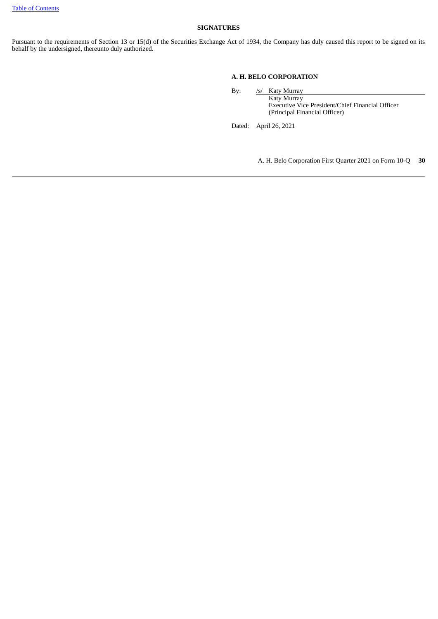### <span id="page-29-0"></span>**SIGNATURES**

Pursuant to the requirements of Section 13 or 15(d) of the Securities Exchange Act of 1934, the Company has duly caused this report to be signed on its behalf by the undersigned, thereunto duly authorized.

## **A. H. BELO CORPORATION**

By: /s/ Katy Murray

Katy Murray Executive Vice President/Chief Financial Officer (Principal Financial Officer)

Dated: April 26, 2021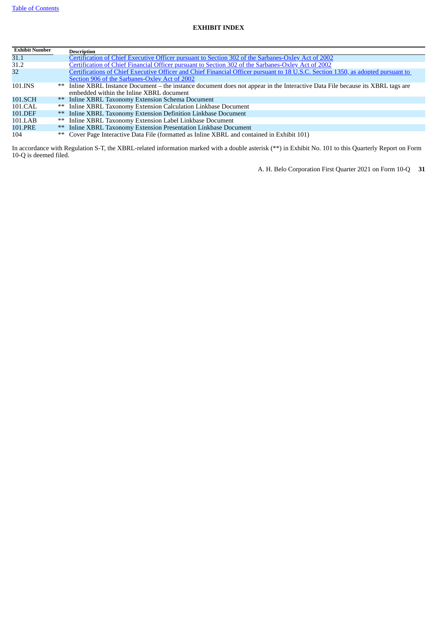# <span id="page-30-0"></span>**EXHIBIT INDEX**

| <b>Exhibit Number</b> |    | <b>Description</b>                                                                                                               |
|-----------------------|----|----------------------------------------------------------------------------------------------------------------------------------|
| 31.1                  |    | Certification of Chief Executive Officer pursuant to Section 302 of the Sarbanes-Oxley Act of 2002                               |
| 31.2                  |    | <u>Certification of Chief Financial Officer pursuant to Section 302 of the Sarbanes-Oxley Act of 2002</u>                        |
| 32                    |    | Certifications of Chief Executive Officer and Chief Financial Officer pursuant to 18 U.S.C. Section 1350, as adopted pursuant to |
|                       |    | Section 906 of the Sarbanes-Oxley Act of 2002                                                                                    |
| 101.INS               |    | ** Inline XBRL Instance Document – the instance document does not appear in the Interactive Data File because its XBRL tags are  |
|                       |    | embedded within the Inline XBRL document                                                                                         |
| 101.SCH               |    | ** Inline XBRL Taxonomy Extension Schema Document                                                                                |
| 101.CAL               |    | ** Inline XBRL Taxonomy Extension Calculation Linkbase Document                                                                  |
| 101.DEF               |    | ** Inline XBRL Taxonomy Extension Definition Linkbase Document                                                                   |
| 101.LAB               |    | ** Inline XBRL Taxonomy Extension Label Linkbase Document                                                                        |
| 101.PRE               | ** | Inline XBRL Taxonomy Extension Presentation Linkbase Document                                                                    |
| 104                   |    | ** Cover Page Interactive Data File (formatted as Inline XBRL and contained in Exhibit 101)                                      |

In accordance with Regulation S-T, the XBRL-related information marked with a double asterisk (\*\*) in Exhibit No. 101 to this Quarterly Report on Form 10-Q is deemed filed.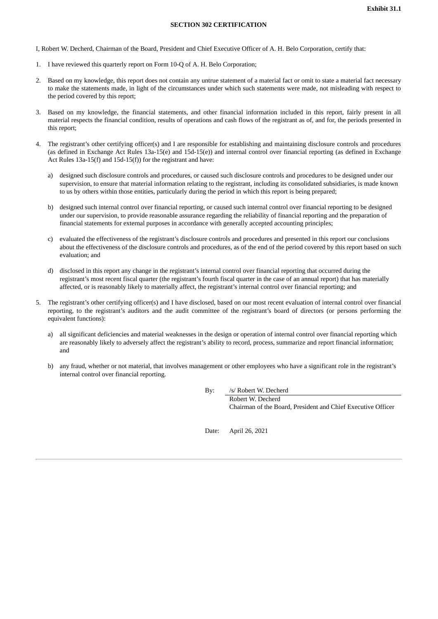#### **SECTION 302 CERTIFICATION**

<span id="page-31-0"></span>I, Robert W. Decherd, Chairman of the Board, President and Chief Executive Officer of A. H. Belo Corporation, certify that:

- 1. I have reviewed this quarterly report on Form 10-Q of A. H. Belo Corporation;
- 2. Based on my knowledge, this report does not contain any untrue statement of a material fact or omit to state a material fact necessary to make the statements made, in light of the circumstances under which such statements were made, not misleading with respect to the period covered by this report;
- 3. Based on my knowledge, the financial statements, and other financial information included in this report, fairly present in all material respects the financial condition, results of operations and cash flows of the registrant as of, and for, the periods presented in this report;
- 4. The registrant's other certifying officer(s) and I are responsible for establishing and maintaining disclosure controls and procedures (as defined in Exchange Act Rules 13a-15(e) and 15d-15(e)) and internal control over financial reporting (as defined in Exchange Act Rules 13a-15(f) and 15d-15(f)) for the registrant and have:
	- a) designed such disclosure controls and procedures, or caused such disclosure controls and procedures to be designed under our supervision, to ensure that material information relating to the registrant, including its consolidated subsidiaries, is made known to us by others within those entities, particularly during the period in which this report is being prepared;
	- b) designed such internal control over financial reporting, or caused such internal control over financial reporting to be designed under our supervision, to provide reasonable assurance regarding the reliability of financial reporting and the preparation of financial statements for external purposes in accordance with generally accepted accounting principles;
	- c) evaluated the effectiveness of the registrant's disclosure controls and procedures and presented in this report our conclusions about the effectiveness of the disclosure controls and procedures, as of the end of the period covered by this report based on such evaluation; and
	- d) disclosed in this report any change in the registrant's internal control over financial reporting that occurred during the registrant's most recent fiscal quarter (the registrant's fourth fiscal quarter in the case of an annual report) that has materially affected, or is reasonably likely to materially affect, the registrant's internal control over financial reporting; and
- 5. The registrant's other certifying officer(s) and I have disclosed, based on our most recent evaluation of internal control over financial reporting, to the registrant's auditors and the audit committee of the registrant's board of directors (or persons performing the equivalent functions):
	- a) all significant deficiencies and material weaknesses in the design or operation of internal control over financial reporting which are reasonably likely to adversely affect the registrant's ability to record, process, summarize and report financial information; and
	- b) any fraud, whether or not material, that involves management or other employees who have a significant role in the registrant's internal control over financial reporting.

By: /s/ Robert W. Decherd

Robert W. Decherd Chairman of the Board, President and Chief Executive Officer

Date: April 26, 2021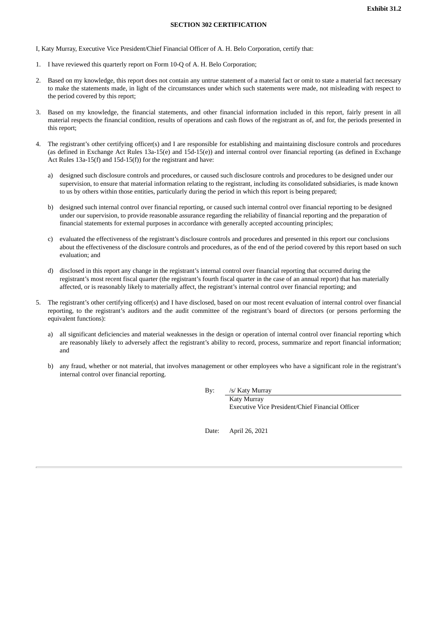#### **SECTION 302 CERTIFICATION**

<span id="page-32-0"></span>I, Katy Murray, Executive Vice President/Chief Financial Officer of A. H. Belo Corporation, certify that:

- 1. I have reviewed this quarterly report on Form 10-Q of A. H. Belo Corporation;
- 2. Based on my knowledge, this report does not contain any untrue statement of a material fact or omit to state a material fact necessary to make the statements made, in light of the circumstances under which such statements were made, not misleading with respect to the period covered by this report;
- 3. Based on my knowledge, the financial statements, and other financial information included in this report, fairly present in all material respects the financial condition, results of operations and cash flows of the registrant as of, and for, the periods presented in this report;
- 4. The registrant's other certifying officer(s) and I are responsible for establishing and maintaining disclosure controls and procedures (as defined in Exchange Act Rules 13a-15(e) and 15d-15(e)) and internal control over financial reporting (as defined in Exchange Act Rules 13a-15(f) and 15d-15(f)) for the registrant and have:
	- a) designed such disclosure controls and procedures, or caused such disclosure controls and procedures to be designed under our supervision, to ensure that material information relating to the registrant, including its consolidated subsidiaries, is made known to us by others within those entities, particularly during the period in which this report is being prepared;
	- b) designed such internal control over financial reporting, or caused such internal control over financial reporting to be designed under our supervision, to provide reasonable assurance regarding the reliability of financial reporting and the preparation of financial statements for external purposes in accordance with generally accepted accounting principles;
	- c) evaluated the effectiveness of the registrant's disclosure controls and procedures and presented in this report our conclusions about the effectiveness of the disclosure controls and procedures, as of the end of the period covered by this report based on such evaluation; and
	- d) disclosed in this report any change in the registrant's internal control over financial reporting that occurred during the registrant's most recent fiscal quarter (the registrant's fourth fiscal quarter in the case of an annual report) that has materially affected, or is reasonably likely to materially affect, the registrant's internal control over financial reporting; and
- 5. The registrant's other certifying officer(s) and I have disclosed, based on our most recent evaluation of internal control over financial reporting, to the registrant's auditors and the audit committee of the registrant's board of directors (or persons performing the equivalent functions):
	- a) all significant deficiencies and material weaknesses in the design or operation of internal control over financial reporting which are reasonably likely to adversely affect the registrant's ability to record, process, summarize and report financial information; and
	- b) any fraud, whether or not material, that involves management or other employees who have a significant role in the registrant's internal control over financial reporting.

By: /s/ Katy Murray

Katy Murray Executive Vice President/Chief Financial Officer

Date: April 26, 2021